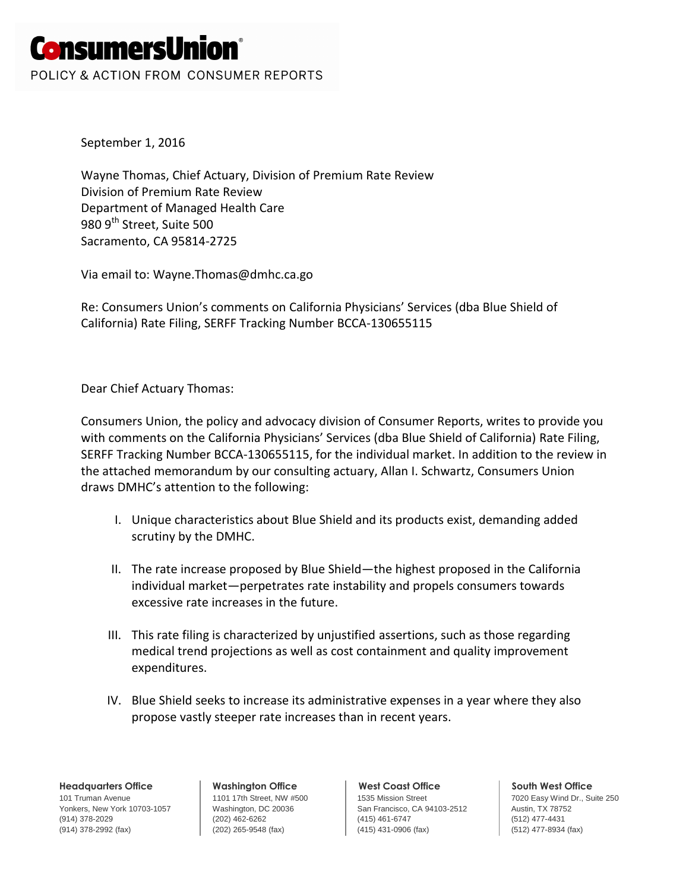# **ConsumersUnion**®

POLICY & ACTION FROM CONSUMER REPORTS

September 1, 2016

Wayne Thomas, Chief Actuary, Division of Premium Rate Review Division of Premium Rate Review Department of Managed Health Care 980 9<sup>th</sup> Street, Suite 500 Sacramento, CA 95814-2725

Via email to: Wayne.Thomas@dmhc.ca.go

Re: Consumers Union's comments on California Physicians' Services (dba Blue Shield of California) Rate Filing, SERFF Tracking Number BCCA-130655115

Dear Chief Actuary Thomas:

Consumers Union, the policy and advocacy division of Consumer Reports, writes to provide you with comments on the California Physicians' Services (dba Blue Shield of California) Rate Filing, SERFF Tracking Number BCCA-130655115, for the individual market. In addition to the review in the attached memorandum by our consulting actuary, Allan I. Schwartz, Consumers Union draws DMHC's attention to the following:

- I. Unique characteristics about Blue Shield and its products exist, demanding added scrutiny by the DMHC.
- II. The rate increase proposed by Blue Shield—the highest proposed in the California individual market—perpetrates rate instability and propels consumers towards excessive rate increases in the future.
- III. This rate filing is characterized by unjustified assertions, such as those regarding medical trend projections as well as cost containment and quality improvement expenditures.
- IV. Blue Shield seeks to increase its administrative expenses in a year where they also propose vastly steeper rate increases than in recent years.

**Headquarters Office**

101 Truman Avenue Yonkers, New York 10703-1057 (914) 378-2029 (914) 378-2992 (fax)

**Washington Office** 1101 17th Street, NW #500 Washington, DC 20036 (202) 462-6262 (202) 265-9548 (fax)

#### **West Coast Office**

1535 Mission Street San Francisco, CA 94103-2512 (415) 461-6747 (415) 431-0906 (fax)

**South West Office**

7020 Easy Wind Dr., Suite 250 Austin, TX 78752 (512) 477-4431 (512) 477-8934 (fax)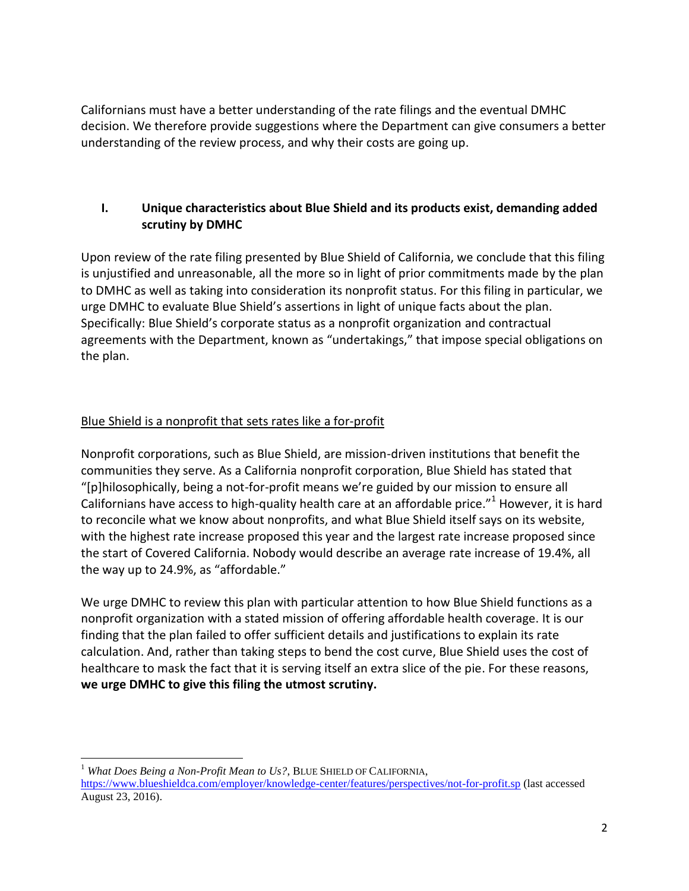Californians must have a better understanding of the rate filings and the eventual DMHC decision. We therefore provide suggestions where the Department can give consumers a better understanding of the review process, and why their costs are going up.

# **I. Unique characteristics about Blue Shield and its products exist, demanding added scrutiny by DMHC**

Upon review of the rate filing presented by Blue Shield of California, we conclude that this filing is unjustified and unreasonable, all the more so in light of prior commitments made by the plan to DMHC as well as taking into consideration its nonprofit status. For this filing in particular, we urge DMHC to evaluate Blue Shield's assertions in light of unique facts about the plan. Specifically: Blue Shield's corporate status as a nonprofit organization and contractual agreements with the Department, known as "undertakings," that impose special obligations on the plan.

# Blue Shield is a nonprofit that sets rates like a for-profit

 $\overline{\phantom{a}}$ 

Nonprofit corporations, such as Blue Shield, are mission-driven institutions that benefit the communities they serve. As a California nonprofit corporation, Blue Shield has stated that "[p]hilosophically, being a not-for-profit means we're guided by our mission to ensure all Californians have access to high-quality health care at an affordable price."<sup>1</sup> However, it is hard to reconcile what we know about nonprofits, and what Blue Shield itself says on its website, with the highest rate increase proposed this year and the largest rate increase proposed since the start of Covered California. Nobody would describe an average rate increase of 19.4%, all the way up to 24.9%, as "affordable."

We urge DMHC to review this plan with particular attention to how Blue Shield functions as a nonprofit organization with a stated mission of offering affordable health coverage. It is our finding that the plan failed to offer sufficient details and justifications to explain its rate calculation. And, rather than taking steps to bend the cost curve, Blue Shield uses the cost of healthcare to mask the fact that it is serving itself an extra slice of the pie. For these reasons, **we urge DMHC to give this filing the utmost scrutiny.**

<sup>&</sup>lt;sup>1</sup> What Does Being a Non-Profit Mean to Us?, BLUE SHIELD OF CALIFORNIA, <https://www.blueshieldca.com/employer/knowledge-center/features/perspectives/not-for-profit.sp> (last accessed August 23, 2016).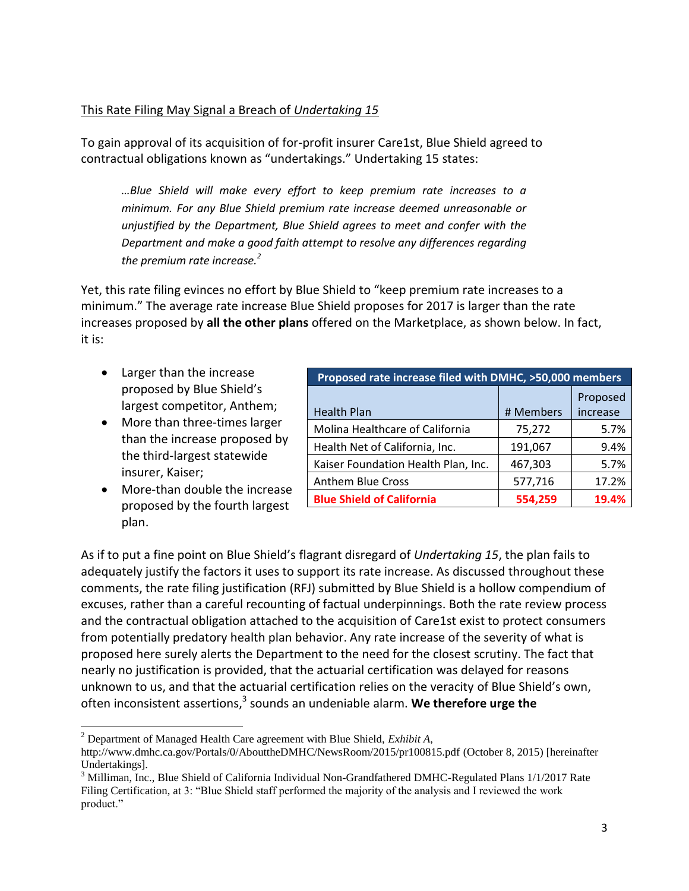## This Rate Filing May Signal a Breach of *Undertaking 15*

To gain approval of its acquisition of for-profit insurer Care1st, Blue Shield agreed to contractual obligations known as "undertakings." Undertaking 15 states:

*…Blue Shield will make every effort to keep premium rate increases to a minimum. For any Blue Shield premium rate increase deemed unreasonable or unjustified by the Department, Blue Shield agrees to meet and confer with the Department and make a good faith attempt to resolve any differences regarding the premium rate increase.<sup>2</sup>*

Yet, this rate filing evinces no effort by Blue Shield to "keep premium rate increases to a minimum." The average rate increase Blue Shield proposes for 2017 is larger than the rate increases proposed by **all the other plans** offered on the Marketplace, as shown below. In fact, it is:

- Larger than the increase proposed by Blue Shield's largest competitor, Anthem;
- More than three-times larger than the increase proposed by the third-largest statewide insurer, Kaiser;
- More-than double the increase proposed by the fourth largest plan.

l

| Proposed rate increase filed with DMHC, >50,000 members |           |                      |  |  |
|---------------------------------------------------------|-----------|----------------------|--|--|
| <b>Health Plan</b>                                      | # Members | Proposed<br>increase |  |  |
| Molina Healthcare of California                         | 75,272    | 5.7%                 |  |  |
| Health Net of California, Inc.                          | 191,067   | 9.4%                 |  |  |
| Kaiser Foundation Health Plan, Inc.                     | 467,303   | 5.7%                 |  |  |
| <b>Anthem Blue Cross</b>                                | 577,716   | 17.2%                |  |  |
| <b>Blue Shield of California</b>                        | 554,259   | 19.4%                |  |  |

As if to put a fine point on Blue Shield's flagrant disregard of *Undertaking 15*, the plan fails to adequately justify the factors it uses to support its rate increase. As discussed throughout these comments, the rate filing justification (RFJ) submitted by Blue Shield is a hollow compendium of excuses, rather than a careful recounting of factual underpinnings. Both the rate review process and the contractual obligation attached to the acquisition of Care1st exist to protect consumers from potentially predatory health plan behavior. Any rate increase of the severity of what is proposed here surely alerts the Department to the need for the closest scrutiny. The fact that nearly no justification is provided, that the actuarial certification was delayed for reasons unknown to us, and that the actuarial certification relies on the veracity of Blue Shield's own, often inconsistent assertions, 3 sounds an undeniable alarm. **We therefore urge the** 

<sup>2</sup> Department of Managed Health Care agreement with Blue Shield, *Exhibit A*,

http://www.dmhc.ca.gov/Portals/0/AbouttheDMHC/NewsRoom/2015/pr100815.pdf (October 8, 2015) [hereinafter Undertakings].

<sup>&</sup>lt;sup>3</sup> Milliman, Inc., Blue Shield of California Individual Non-Grandfathered DMHC-Regulated Plans 1/1/2017 Rate Filing Certification, at 3: "Blue Shield staff performed the majority of the analysis and I reviewed the work product."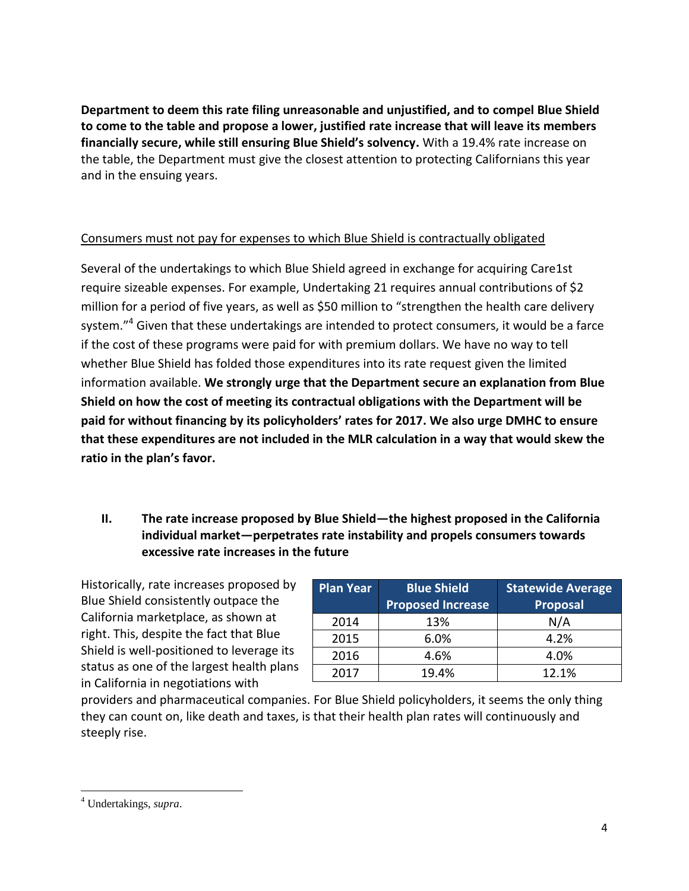**Department to deem this rate filing unreasonable and unjustified, and to compel Blue Shield to come to the table and propose a lower, justified rate increase that will leave its members financially secure, while still ensuring Blue Shield's solvency.** With a 19.4% rate increase on the table, the Department must give the closest attention to protecting Californians this year and in the ensuing years.

# Consumers must not pay for expenses to which Blue Shield is contractually obligated

Several of the undertakings to which Blue Shield agreed in exchange for acquiring Care1st require sizeable expenses. For example, Undertaking 21 requires annual contributions of \$2 million for a period of five years, as well as \$50 million to "strengthen the health care delivery system."<sup>4</sup> Given that these undertakings are intended to protect consumers, it would be a farce if the cost of these programs were paid for with premium dollars. We have no way to tell whether Blue Shield has folded those expenditures into its rate request given the limited information available. **We strongly urge that the Department secure an explanation from Blue Shield on how the cost of meeting its contractual obligations with the Department will be paid for without financing by its policyholders' rates for 2017. We also urge DMHC to ensure that these expenditures are not included in the MLR calculation in a way that would skew the ratio in the plan's favor.**

# **II. The rate increase proposed by Blue Shield—the highest proposed in the California individual market—perpetrates rate instability and propels consumers towards excessive rate increases in the future**

Historically, rate increases proposed by Blue Shield consistently outpace the California marketplace, as shown at right. This, despite the fact that Blue Shield is well-positioned to leverage its status as one of the largest health plans in California in negotiations with

| <b>Plan Year</b> | <b>Blue Shield</b><br><b>Proposed Increase</b> | <b>Statewide Average</b><br>Proposal |
|------------------|------------------------------------------------|--------------------------------------|
| 2014             | 13%                                            | N/A                                  |
| 2015             | 6.0%                                           | 4.2%                                 |
| 2016             | 4.6%                                           | 4.0%                                 |
| 2017             | 19.4%                                          | 12.1%                                |

providers and pharmaceutical companies. For Blue Shield policyholders, it seems the only thing they can count on, like death and taxes, is that their health plan rates will continuously and steeply rise.

 $\overline{\phantom{a}}$ 

<sup>4</sup> Undertakings, *supra*.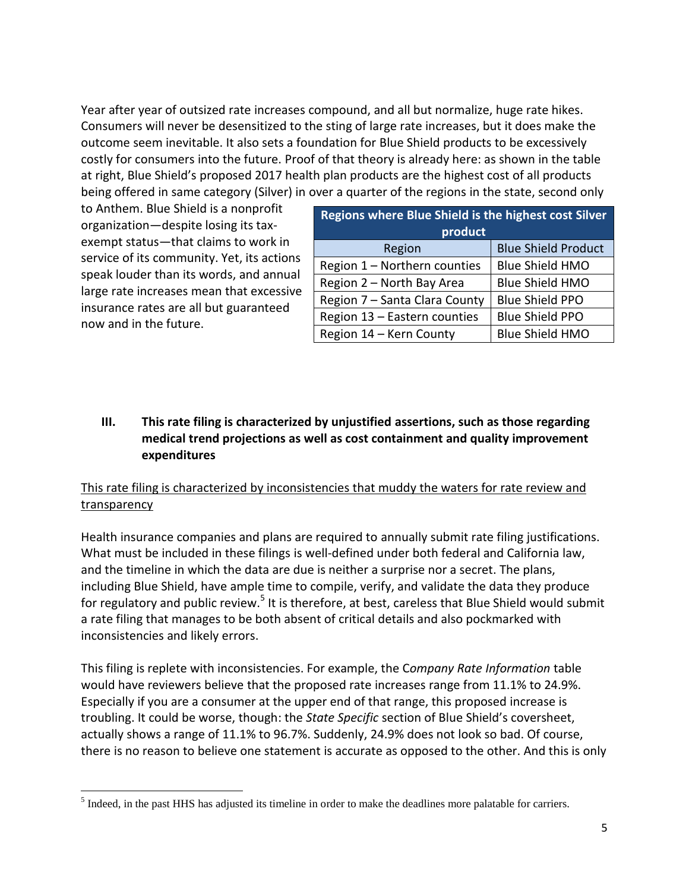Year after year of outsized rate increases compound, and all but normalize, huge rate hikes. Consumers will never be desensitized to the sting of large rate increases, but it does make the outcome seem inevitable. It also sets a foundation for Blue Shield products to be excessively costly for consumers into the future. Proof of that theory is already here: as shown in the table at right, Blue Shield's proposed 2017 health plan products are the highest cost of all products being offered in same category (Silver) in over a quarter of the regions in the state, second only

to Anthem. Blue Shield is a nonprofit organization—despite losing its taxexempt status—that claims to work in service of its community. Yet, its actions speak louder than its words, and annual large rate increases mean that excessive insurance rates are all but guaranteed now and in the future.

| <b>Regions where Blue Shield is the highest cost Silver</b><br>product |                            |  |  |
|------------------------------------------------------------------------|----------------------------|--|--|
| Region                                                                 | <b>Blue Shield Product</b> |  |  |
| Region 1 - Northern counties                                           | <b>Blue Shield HMO</b>     |  |  |
| Region 2 - North Bay Area                                              | <b>Blue Shield HMO</b>     |  |  |
| Region 7 - Santa Clara County                                          | <b>Blue Shield PPO</b>     |  |  |
| Region 13 - Eastern counties                                           | <b>Blue Shield PPO</b>     |  |  |
| Region 14 - Kern County                                                | <b>Blue Shield HMO</b>     |  |  |

# **III. This rate filing is characterized by unjustified assertions, such as those regarding medical trend projections as well as cost containment and quality improvement expenditures**

# This rate filing is characterized by inconsistencies that muddy the waters for rate review and **transparency**

Health insurance companies and plans are required to annually submit rate filing justifications. What must be included in these filings is well-defined under both federal and California law, and the timeline in which the data are due is neither a surprise nor a secret. The plans, including Blue Shield, have ample time to compile, verify, and validate the data they produce for regulatory and public review.<sup>5</sup> It is therefore, at best, careless that Blue Shield would submit a rate filing that manages to be both absent of critical details and also pockmarked with inconsistencies and likely errors.

This filing is replete with inconsistencies. For example, the C*ompany Rate Information* table would have reviewers believe that the proposed rate increases range from 11.1% to 24.9%. Especially if you are a consumer at the upper end of that range, this proposed increase is troubling. It could be worse, though: the *State Specific* section of Blue Shield's coversheet, actually shows a range of 11.1% to 96.7%. Suddenly, 24.9% does not look so bad. Of course, there is no reason to believe one statement is accurate as opposed to the other. And this is only

 $\overline{\phantom{a}}$  $<sup>5</sup>$  Indeed, in the past HHS has adjusted its timeline in order to make the deadlines more palatable for carriers.</sup>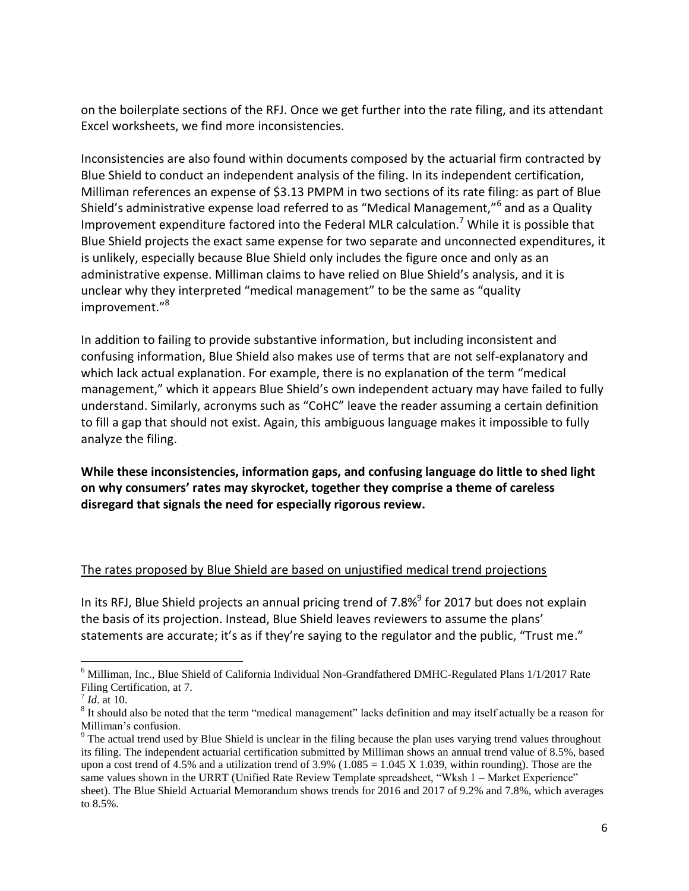on the boilerplate sections of the RFJ. Once we get further into the rate filing, and its attendant Excel worksheets, we find more inconsistencies.

Inconsistencies are also found within documents composed by the actuarial firm contracted by Blue Shield to conduct an independent analysis of the filing. In its independent certification, Milliman references an expense of \$3.13 PMPM in two sections of its rate filing: as part of Blue Shield's administrative expense load referred to as "Medical Management,"<sup>6</sup> and as a Quality Improvement expenditure factored into the Federal MLR calculation.<sup>7</sup> While it is possible that Blue Shield projects the exact same expense for two separate and unconnected expenditures, it is unlikely, especially because Blue Shield only includes the figure once and only as an administrative expense. Milliman claims to have relied on Blue Shield's analysis, and it is unclear why they interpreted "medical management" to be the same as "quality improvement."<sup>8</sup>

In addition to failing to provide substantive information, but including inconsistent and confusing information, Blue Shield also makes use of terms that are not self-explanatory and which lack actual explanation. For example, there is no explanation of the term "medical management," which it appears Blue Shield's own independent actuary may have failed to fully understand. Similarly, acronyms such as "CoHC" leave the reader assuming a certain definition to fill a gap that should not exist. Again, this ambiguous language makes it impossible to fully analyze the filing.

**While these inconsistencies, information gaps, and confusing language do little to shed light on why consumers' rates may skyrocket, together they comprise a theme of careless disregard that signals the need for especially rigorous review.**

#### The rates proposed by Blue Shield are based on unjustified medical trend projections

In its RFJ, Blue Shield projects an annual pricing trend of 7.8%<sup>9</sup> for 2017 but does not explain the basis of its projection. Instead, Blue Shield leaves reviewers to assume the plans' statements are accurate; it's as if they're saying to the regulator and the public, "Trust me."

 $\overline{\phantom{a}}$ 

<sup>6</sup> Milliman, Inc., Blue Shield of California Individual Non-Grandfathered DMHC-Regulated Plans 1/1/2017 Rate Filing Certification, at 7.

<sup>7</sup> *Id*. at 10.

<sup>&</sup>lt;sup>8</sup> It should also be noted that the term "medical management" lacks definition and may itself actually be a reason for Milliman's confusion.

<sup>&</sup>lt;sup>9</sup> The actual trend used by Blue Shield is unclear in the filing because the plan uses varying trend values throughout its filing. The independent actuarial certification submitted by Milliman shows an annual trend value of 8.5%, based upon a cost trend of 4.5% and a utilization trend of  $3.9\%$  (1.085 = 1.045 X 1.039, within rounding). Those are the same values shown in the URRT (Unified Rate Review Template spreadsheet, "Wksh 1 – Market Experience" sheet). The Blue Shield Actuarial Memorandum shows trends for 2016 and 2017 of 9.2% and 7.8%, which averages to 8.5%.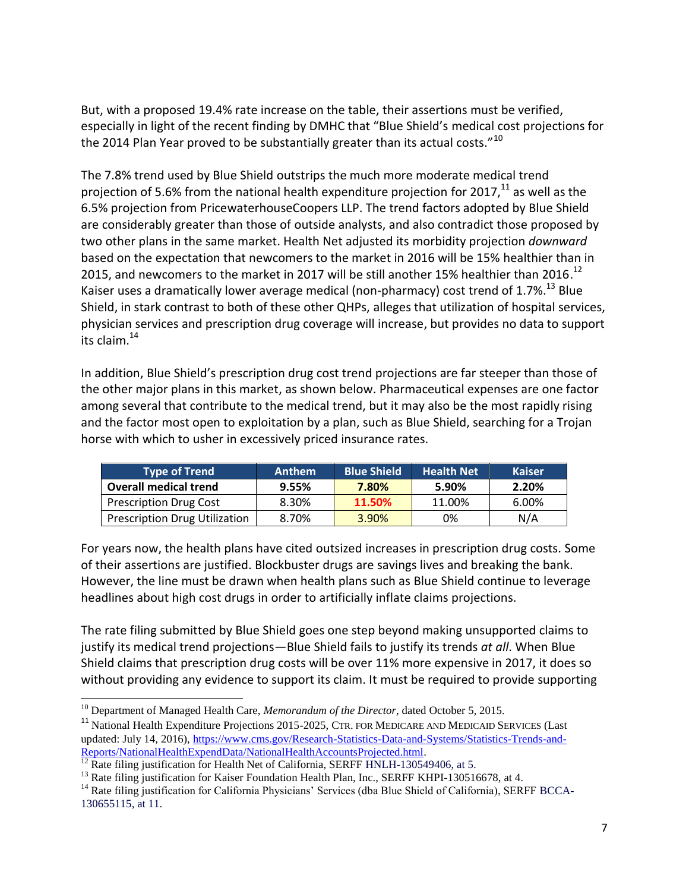But, with a proposed 19.4% rate increase on the table, their assertions must be verified, especially in light of the recent finding by DMHC that "Blue Shield's medical cost projections for the 2014 Plan Year proved to be substantially greater than its actual costs."<sup>10</sup>

The 7.8% trend used by Blue Shield outstrips the much more moderate medical trend projection of 5.6% from the national health expenditure projection for 2017, $^{11}$  as well as the 6.5% projection from PricewaterhouseCoopers LLP. The trend factors adopted by Blue Shield are considerably greater than those of outside analysts, and also contradict those proposed by two other plans in the same market. Health Net adjusted its morbidity projection *downward* based on the expectation that newcomers to the market in 2016 will be 15% healthier than in 2015, and newcomers to the market in 2017 will be still another 15% healthier than 2016.<sup>12</sup> Kaiser uses a dramatically lower average medical (non-pharmacy) cost trend of 1.7%.<sup>13</sup> Blue Shield, in stark contrast to both of these other QHPs, alleges that utilization of hospital services, physician services and prescription drug coverage will increase, but provides no data to support its claim. $^{14}$ 

In addition, Blue Shield's prescription drug cost trend projections are far steeper than those of the other major plans in this market, as shown below. Pharmaceutical expenses are one factor among several that contribute to the medical trend, but it may also be the most rapidly rising and the factor most open to exploitation by a plan, such as Blue Shield, searching for a Trojan horse with which to usher in excessively priced insurance rates.

| <b>Type of Trend</b>                 | <b>Anthem</b> | <b>Blue Shield</b> | <b>Health Net</b> | <b>Kaiser</b> |
|--------------------------------------|---------------|--------------------|-------------------|---------------|
| <b>Overall medical trend</b>         | 9.55%         | 7.80%              | 5.90%             | 2.20%         |
| <b>Prescription Drug Cost</b>        | 8.30%         | 11.50%             | 11.00%            | 6.00%         |
| <b>Prescription Drug Utilization</b> | 8.70%         | 3.90%              | 0%                | N/A           |

For years now, the health plans have cited outsized increases in prescription drug costs. Some of their assertions are justified. Blockbuster drugs are savings lives and breaking the bank. However, the line must be drawn when health plans such as Blue Shield continue to leverage headlines about high cost drugs in order to artificially inflate claims projections.

The rate filing submitted by Blue Shield goes one step beyond making unsupported claims to justify its medical trend projections—Blue Shield fails to justify its trends *at all*. When Blue Shield claims that prescription drug costs will be over 11% more expensive in 2017, it does so without providing any evidence to support its claim. It must be required to provide supporting

 $\overline{\phantom{a}}$ <sup>10</sup> Department of Managed Health Care, *Memorandum of the Director*, dated October 5, 2015.

<sup>&</sup>lt;sup>11</sup> National Health Expenditure Projections 2015-2025, CTR. FOR MEDICARE AND MEDICAID SERVICES (Last updated: July 14, 2016), [https://www.cms.gov/Research-Statistics-Data-and-Systems/Statistics-Trends-and-](https://www.cms.gov/Research-Statistics-Data-and-Systems/Statistics-Trends-and-Reports/NationalHealthExpendData/NationalHealthAccountsProjected.html)[Reports/NationalHealthExpendData/NationalHealthAccountsProjected.html.](https://www.cms.gov/Research-Statistics-Data-and-Systems/Statistics-Trends-and-Reports/NationalHealthExpendData/NationalHealthAccountsProjected.html)

<sup>&</sup>lt;sup>12</sup> Rate filing justification for Health Net of California, SERFF HNLH-130549406, at 5.

<sup>&</sup>lt;sup>13</sup> Rate filing justification for Kaiser Foundation Health Plan, Inc., SERFF KHPI-130516678, at 4.

<sup>&</sup>lt;sup>14</sup> Rate filing justification for California Physicians' Services (dba Blue Shield of California), SERFF BCCA-130655115, at 11.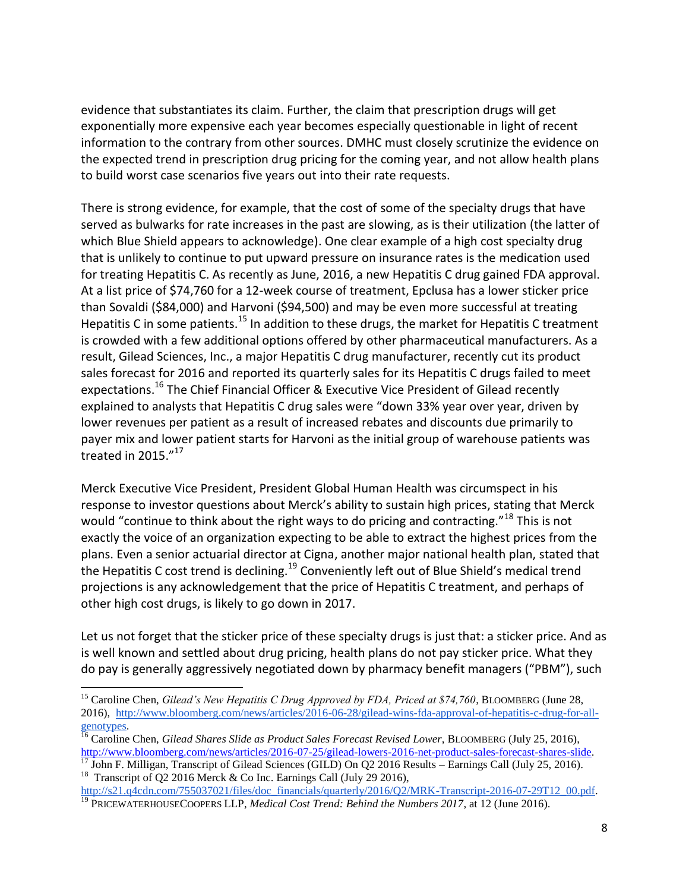evidence that substantiates its claim. Further, the claim that prescription drugs will get exponentially more expensive each year becomes especially questionable in light of recent information to the contrary from other sources. DMHC must closely scrutinize the evidence on the expected trend in prescription drug pricing for the coming year, and not allow health plans to build worst case scenarios five years out into their rate requests.

There is strong evidence, for example, that the cost of some of the specialty drugs that have served as bulwarks for rate increases in the past are slowing, as is their utilization (the latter of which Blue Shield appears to acknowledge). One clear example of a high cost specialty drug that is unlikely to continue to put upward pressure on insurance rates is the medication used for treating Hepatitis C. As recently as June, 2016, a new Hepatitis C drug gained FDA approval. At a list price of \$74,760 for a 12-week course of treatment, Epclusa has a lower sticker price than Sovaldi (\$84,000) and Harvoni (\$94,500) and may be even more successful at treating Hepatitis C in some patients.<sup>15</sup> In addition to these drugs, the market for Hepatitis C treatment is crowded with a few additional options offered by other pharmaceutical manufacturers. As a result, Gilead Sciences, Inc., a major Hepatitis C drug manufacturer, recently cut its product sales forecast for 2016 and reported its quarterly sales for its Hepatitis C drugs failed to meet expectations.<sup>16</sup> The Chief Financial Officer & Executive Vice President of Gilead recently explained to analysts that Hepatitis C drug sales were "down 33% year over year, driven by lower revenues per patient as a result of increased rebates and discounts due primarily to payer mix and lower patient starts for Harvoni as the initial group of warehouse patients was treated in 2015."<sup>17</sup>

Merck Executive Vice President, President Global Human Health was circumspect in his response to investor questions about Merck's ability to sustain high prices, stating that Merck would "continue to think about the right ways to do pricing and contracting."<sup>18</sup> This is not exactly the voice of an organization expecting to be able to extract the highest prices from the plans. Even a senior actuarial director at Cigna, another major national health plan, stated that the Hepatitis C cost trend is declining.<sup>19</sup> Conveniently left out of Blue Shield's medical trend projections is any acknowledgement that the price of Hepatitis C treatment, and perhaps of other high cost drugs, is likely to go down in 2017.

Let us not forget that the sticker price of these specialty drugs is just that: a sticker price. And as is well known and settled about drug pricing, health plans do not pay sticker price. What they do pay is generally aggressively negotiated down by pharmacy benefit managers ("PBM"), such

 $\overline{\phantom{a}}$ <sup>15</sup> Caroline Chen, *Gilead's New Hepatitis C Drug Approved by FDA, Priced at \$74,760*, BLOOMBERG (June 28, 2016), [http://www.bloomberg.com/news/articles/2016-06-28/gilead-wins-fda-approval-of-hepatitis-c-drug-for-all](http://www.bloomberg.com/news/articles/2016-06-28/gilead-wins-fda-approval-of-hepatitis-c-drug-for-all-genotypes)[genotypes.](http://www.bloomberg.com/news/articles/2016-06-28/gilead-wins-fda-approval-of-hepatitis-c-drug-for-all-genotypes) 

<sup>&</sup>lt;sup>16</sup> Caroline Chen, *Gilead Shares Slide as Product Sales Forecast Revised Lower*, BLOOMBERG (July 25, 2016), [http://www.bloomberg.com/news/articles/2016-07-25/gilead-lowers-2016-net-product-sales-forecast-shares-slide.](http://www.bloomberg.com/news/articles/2016-07-25/gilead-lowers-2016-net-product-sales-forecast-shares-slide)

 $\frac{17}{17}$  John F. Milligan, Transcript of Gilead Sciences (GILD) On Q2 2016 Results – Earnings Call (July 25, 2016). <sup>18</sup> Transcript of Q2 2016 Merck & Co Inc. Earnings Call (July 29 2016),

[http://s21.q4cdn.com/755037021/files/doc\\_financials/quarterly/2016/Q2/MRK-Transcript-2016-07-29T12\\_00.pdf.](http://s21.q4cdn.com/755037021/files/doc_financials/quarterly/2016/Q2/MRK-Transcript-2016-07-29T12_00.pdf) <sup>19</sup> PRICEWATERHOUSECOOPERS LLP, *Medical Cost Trend: Behind the Numbers 2017*, at 12 (June 2016).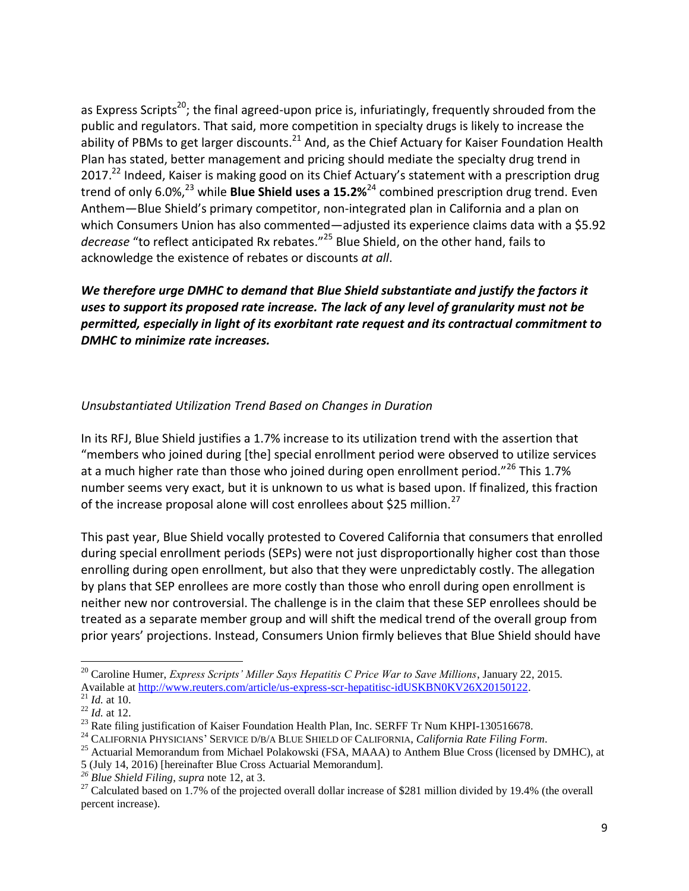as Express Scripts<sup>20</sup>; the final agreed-upon price is, infuriatingly, frequently shrouded from the public and regulators. That said, more competition in specialty drugs is likely to increase the ability of PBMs to get larger discounts.<sup>21</sup> And, as the Chief Actuary for Kaiser Foundation Health Plan has stated, better management and pricing should mediate the specialty drug trend in 2017.<sup>22</sup> Indeed, Kaiser is making good on its Chief Actuary's statement with a prescription drug trend of only 6.0%,<sup>23</sup> while **Blue Shield uses a 15.2%<sup>24</sup> c**ombined prescription drug trend. Even Anthem—Blue Shield's primary competitor, non-integrated plan in California and a plan on which Consumers Union has also commented—adjusted its experience claims data with a \$5.92 *decrease* "to reflect anticipated Rx rebates." <sup>25</sup> Blue Shield, on the other hand, fails to acknowledge the existence of rebates or discounts *at all*.

*We therefore urge DMHC to demand that Blue Shield substantiate and justify the factors it uses to support its proposed rate increase. The lack of any level of granularity must not be permitted, especially in light of its exorbitant rate request and its contractual commitment to DMHC to minimize rate increases.*

### *Unsubstantiated Utilization Trend Based on Changes in Duration*

In its RFJ, Blue Shield justifies a 1.7% increase to its utilization trend with the assertion that "members who joined during [the] special enrollment period were observed to utilize services at a much higher rate than those who joined during open enrollment period." $^{26}$  This 1.7% number seems very exact, but it is unknown to us what is based upon. If finalized, this fraction of the increase proposal alone will cost enrollees about \$25 million.<sup>27</sup>

This past year, Blue Shield vocally protested to Covered California that consumers that enrolled during special enrollment periods (SEPs) were not just disproportionally higher cost than those enrolling during open enrollment, but also that they were unpredictably costly. The allegation by plans that SEP enrollees are more costly than those who enroll during open enrollment is neither new nor controversial. The challenge is in the claim that these SEP enrollees should be treated as a separate member group and will shift the medical trend of the overall group from prior years' projections. Instead, Consumers Union firmly believes that Blue Shield should have

 $\overline{\phantom{a}}$ 

<sup>20</sup> Caroline Humer, *Express Scripts' Miller Says Hepatitis C Price War to Save Millions*, January 22, 2015. Available at [http://www.reuters.com/article/us-express-scr-hepatitisc-idUSKBN0KV26X20150122.](http://www.reuters.com/article/us-express-scr-hepatitisc-idUSKBN0KV26X20150122)

<sup>21</sup> *Id.* at 10.

<sup>22</sup> *Id.* at 12.

<sup>&</sup>lt;sup>23</sup> Rate filing justification of Kaiser Foundation Health Plan, Inc. SERFF Tr Num KHPI-130516678.

<sup>24</sup> CALIFORNIA PHYSICIANS' SERVICE D/B/A BLUE SHIELD OF CALIFORNIA, *California Rate Filing Form*.

<sup>&</sup>lt;sup>25</sup> Actuarial Memorandum from Michael Polakowski (FSA, MAAA) to Anthem Blue Cross (licensed by DMHC), at

<sup>5 (</sup>July 14, 2016) [hereinafter Blue Cross Actuarial Memorandum].

*<sup>26</sup> Blue Shield Filing*, *supra* note 12, at 3.

<sup>&</sup>lt;sup>27</sup> Calculated based on 1.7% of the projected overall dollar increase of \$281 million divided by 19.4% (the overall percent increase).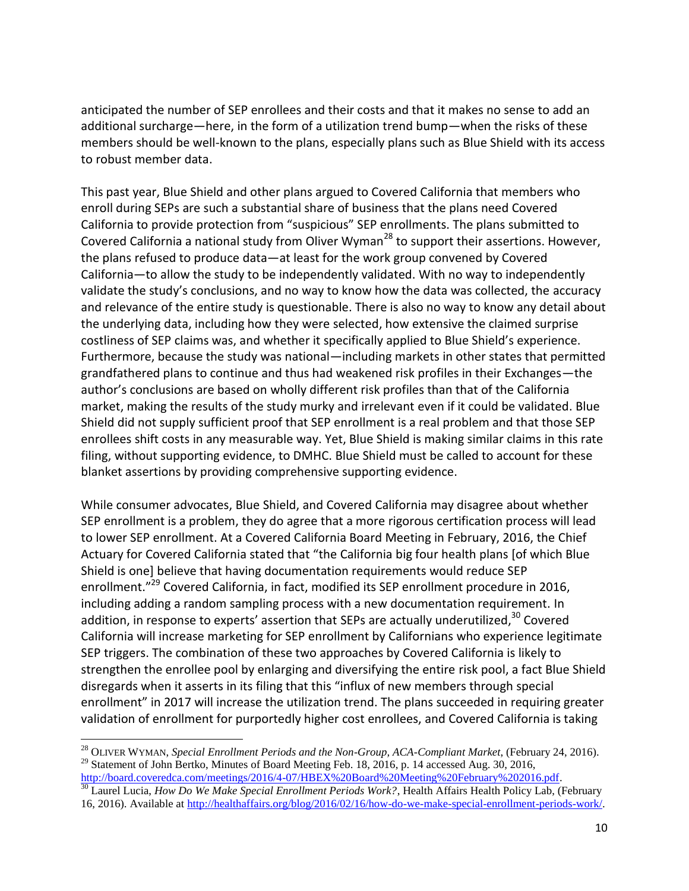anticipated the number of SEP enrollees and their costs and that it makes no sense to add an additional surcharge—here, in the form of a utilization trend bump—when the risks of these members should be well-known to the plans, especially plans such as Blue Shield with its access to robust member data.

This past year, Blue Shield and other plans argued to Covered California that members who enroll during SEPs are such a substantial share of business that the plans need Covered California to provide protection from "suspicious" SEP enrollments. The plans submitted to Covered California a national study from Oliver Wyman<sup>28</sup> to support their assertions. However, the plans refused to produce data—at least for the work group convened by Covered California—to allow the study to be independently validated. With no way to independently validate the study's conclusions, and no way to know how the data was collected, the accuracy and relevance of the entire study is questionable. There is also no way to know any detail about the underlying data, including how they were selected, how extensive the claimed surprise costliness of SEP claims was, and whether it specifically applied to Blue Shield's experience. Furthermore, because the study was national—including markets in other states that permitted grandfathered plans to continue and thus had weakened risk profiles in their Exchanges—the author's conclusions are based on wholly different risk profiles than that of the California market, making the results of the study murky and irrelevant even if it could be validated. Blue Shield did not supply sufficient proof that SEP enrollment is a real problem and that those SEP enrollees shift costs in any measurable way. Yet, Blue Shield is making similar claims in this rate filing, without supporting evidence, to DMHC. Blue Shield must be called to account for these blanket assertions by providing comprehensive supporting evidence.

While consumer advocates, Blue Shield, and Covered California may disagree about whether SEP enrollment is a problem, they do agree that a more rigorous certification process will lead to lower SEP enrollment. At a Covered California Board Meeting in February, 2016, the Chief Actuary for Covered California stated that "the California big four health plans [of which Blue Shield is one] believe that having documentation requirements would reduce SEP enrollment."<sup>29</sup> Covered California, in fact, modified its SEP enrollment procedure in 2016, including adding a random sampling process with a new documentation requirement. In addition, in response to experts' assertion that SEPs are actually underutilized,<sup>30</sup> Covered California will increase marketing for SEP enrollment by Californians who experience legitimate SEP triggers. The combination of these two approaches by Covered California is likely to strengthen the enrollee pool by enlarging and diversifying the entire risk pool, a fact Blue Shield disregards when it asserts in its filing that this "influx of new members through special enrollment" in 2017 will increase the utilization trend. The plans succeeded in requiring greater validation of enrollment for purportedly higher cost enrollees, and Covered California is taking

 $\overline{a}$ 

<sup>28</sup> OLIVER WYMAN, *Special Enrollment Periods and the Non-Group, ACA-Compliant Market*, (February 24, 2016).  $^{29}$  Statement of John Bertko, Minutes of Board Meeting Feb. 18, 2016, p. 14 accessed Aug. 30, 2016,

[http://board.coveredca.com/meetings/2016/4-07/HBEX%20Board%20Meeting%20February%202016.pdf.](http://board.coveredca.com/meetings/2016/4-07/HBEX%20Board%20Meeting%20February%202016.pdf) <sup>30</sup> Laurel Lucia, *How Do We Make Special Enrollment Periods Work?*, Health Affairs Health Policy Lab, (February 16, 2016). Available at [http://healthaffairs.org/blog/2016/02/16/how-do-we-make-special-enrollment-periods-work/.](http://healthaffairs.org/blog/2016/02/16/how-do-we-make-special-enrollment-periods-work/)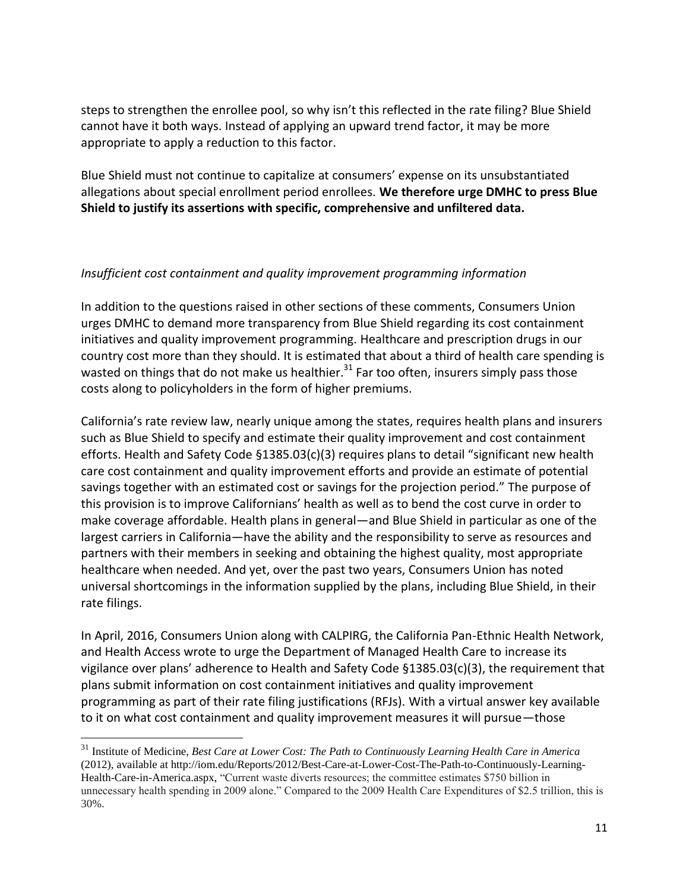steps to strengthen the enrollee pool, so why isn't this reflected in the rate filing? Blue Shield cannot have it both ways. Instead of applying an upward trend factor, it may be more appropriate to apply a reduction to this factor.

Blue Shield must not continue to capitalize at consumers' expense on its unsubstantiated allegations about special enrollment period enrollees. **We therefore urge DMHC to press Blue Shield to justify its assertions with specific, comprehensive and unfiltered data.**

## *Insufficient cost containment and quality improvement programming information*

In addition to the questions raised in other sections of these comments, Consumers Union urges DMHC to demand more transparency from Blue Shield regarding its cost containment initiatives and quality improvement programming. Healthcare and prescription drugs in our country cost more than they should. It is estimated that about a third of health care spending is wasted on things that do not make us healthier.<sup>31</sup> Far too often, insurers simply pass those costs along to policyholders in the form of higher premiums.

California's rate review law, nearly unique among the states, requires health plans and insurers such as Blue Shield to specify and estimate their quality improvement and cost containment efforts. Health and Safety Code §1385.03(c)(3) requires plans to detail "significant new health care cost containment and quality improvement efforts and provide an estimate of potential savings together with an estimated cost or savings for the projection period." The purpose of this provision is to improve Californians' health as well as to bend the cost curve in order to make coverage affordable. Health plans in general—and Blue Shield in particular as one of the largest carriers in California—have the ability and the responsibility to serve as resources and partners with their members in seeking and obtaining the highest quality, most appropriate healthcare when needed. And yet, over the past two years, Consumers Union has noted universal shortcomings in the information supplied by the plans, including Blue Shield, in their rate filings.

In April, 2016, Consumers Union along with CALPIRG, the California Pan-Ethnic Health Network, and Health Access wrote to urge the Department of Managed Health Care to increase its vigilance over plans' adherence to Health and Safety Code §1385.03(c)(3), the requirement that plans submit information on cost containment initiatives and quality improvement programming as part of their rate filing justifications (RFJs). With a virtual answer key available to it on what cost containment and quality improvement measures it will pursue—those

 $\overline{\phantom{a}}$ 

<sup>31</sup> Institute of Medicine, *Best Care at Lower Cost: The Path to Continuously Learning Health Care in America* (2012), available at http://iom.edu/Reports/2012/Best-Care-at-Lower-Cost-The-Path-to-Continuously-Learning-Health-Care-in-America.aspx, "Current waste diverts resources; the committee estimates \$750 billion in unnecessary health spending in 2009 alone." Compared to the 2009 Health Care Expenditures of \$2.5 trillion, this is 30%.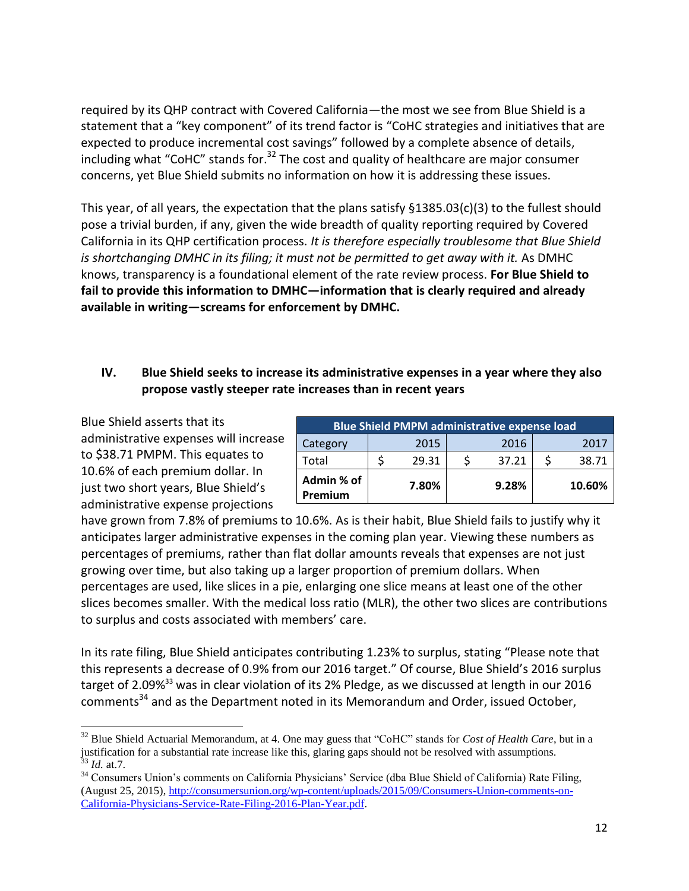required by its QHP contract with Covered California—the most we see from Blue Shield is a statement that a "key component" of its trend factor is "CoHC strategies and initiatives that are expected to produce incremental cost savings" followed by a complete absence of details, including what "CoHC" stands for. $32$  The cost and quality of healthcare are major consumer concerns, yet Blue Shield submits no information on how it is addressing these issues.

This year, of all years, the expectation that the plans satisfy §1385.03(c)(3) to the fullest should pose a trivial burden, if any, given the wide breadth of quality reporting required by Covered California in its QHP certification process. *It is therefore especially troublesome that Blue Shield is shortchanging DMHC in its filing; it must not be permitted to get away with it.* As DMHC knows, transparency is a foundational element of the rate review process. **For Blue Shield to fail to provide this information to DMHC—information that is clearly required and already available in writing—screams for enforcement by DMHC.** 

# **IV. Blue Shield seeks to increase its administrative expenses in a year where they also propose vastly steeper rate increases than in recent years**

Blue Shield asserts that its administrative expenses will increase to \$38.71 PMPM. This equates to 10.6% of each premium dollar. In just two short years, Blue Shield's administrative expense projections

| <b>Blue Shield PMPM administrative expense load</b> |  |       |  |       |        |
|-----------------------------------------------------|--|-------|--|-------|--------|
| Category                                            |  | 2015  |  | 2016  | 2017   |
| Total                                               |  | 29.31 |  | 37.21 | 38.71  |
| Admin % of<br>Premium                               |  | 7.80% |  | 9.28% | 10.60% |

have grown from 7.8% of premiums to 10.6%. As is their habit, Blue Shield fails to justify why it anticipates larger administrative expenses in the coming plan year. Viewing these numbers as percentages of premiums, rather than flat dollar amounts reveals that expenses are not just growing over time, but also taking up a larger proportion of premium dollars. When percentages are used, like slices in a pie, enlarging one slice means at least one of the other slices becomes smaller. With the medical loss ratio (MLR), the other two slices are contributions to surplus and costs associated with members' care.

In its rate filing, Blue Shield anticipates contributing 1.23% to surplus, stating "Please note that this represents a decrease of 0.9% from our 2016 target." Of course, Blue Shield's 2016 surplus target of 2.09%<sup>33</sup> was in clear violation of its 2% Pledge, as we discussed at length in our 2016 comments<sup>34</sup> and as the Department noted in its Memorandum and Order, issued October,

l <sup>32</sup> Blue Shield Actuarial Memorandum, at 4. One may guess that "CoHC" stands for *Cost of Health Care*, but in a justification for a substantial rate increase like this, glaring gaps should not be resolved with assumptions. <sup>33</sup> *Id.* at.7.

<sup>&</sup>lt;sup>34</sup> Consumers Union's comments on California Physicians' Service (dba Blue Shield of California) Rate Filing, (August 25, 2015), [http://consumersunion.org/wp-content/uploads/2015/09/Consumers-Union-comments-on-](http://consumersunion.org/wp-content/uploads/2015/09/Consumers-Union-comments-on-California-Physicians-Service-Rate-Filing-2016-Plan-Year.pdf)[California-Physicians-Service-Rate-Filing-2016-Plan-Year.pdf.](http://consumersunion.org/wp-content/uploads/2015/09/Consumers-Union-comments-on-California-Physicians-Service-Rate-Filing-2016-Plan-Year.pdf)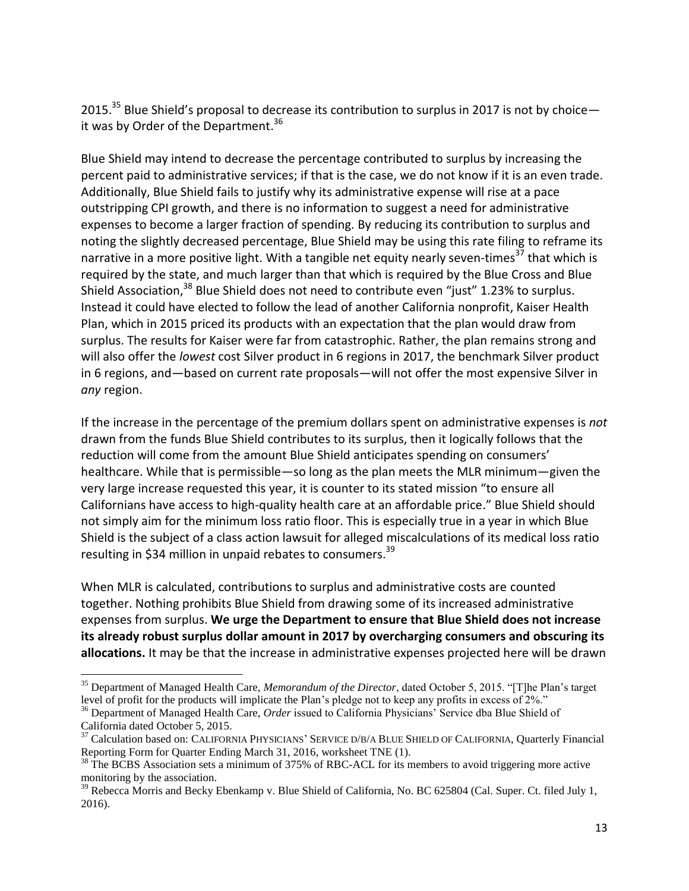2015.<sup>35</sup> Blue Shield's proposal to decrease its contribution to surplus in 2017 is not by choice  $$ it was by Order of the Department.<sup>36</sup>

Blue Shield may intend to decrease the percentage contributed to surplus by increasing the percent paid to administrative services; if that is the case, we do not know if it is an even trade. Additionally, Blue Shield fails to justify why its administrative expense will rise at a pace outstripping CPI growth, and there is no information to suggest a need for administrative expenses to become a larger fraction of spending. By reducing its contribution to surplus and noting the slightly decreased percentage, Blue Shield may be using this rate filing to reframe its narrative in a more positive light. With a tangible net equity nearly seven-times<sup>37</sup> that which is required by the state, and much larger than that which is required by the Blue Cross and Blue Shield Association,<sup>38</sup> Blue Shield does not need to contribute even "just" 1.23% to surplus. Instead it could have elected to follow the lead of another California nonprofit, Kaiser Health Plan, which in 2015 priced its products with an expectation that the plan would draw from surplus. The results for Kaiser were far from catastrophic. Rather, the plan remains strong and will also offer the *lowest* cost Silver product in 6 regions in 2017, the benchmark Silver product in 6 regions, and—based on current rate proposals—will not offer the most expensive Silver in *any* region.

If the increase in the percentage of the premium dollars spent on administrative expenses is *not* drawn from the funds Blue Shield contributes to its surplus, then it logically follows that the reduction will come from the amount Blue Shield anticipates spending on consumers' healthcare. While that is permissible—so long as the plan meets the MLR minimum—given the very large increase requested this year, it is counter to its stated mission "to ensure all Californians have access to high-quality health care at an affordable price." Blue Shield should not simply aim for the minimum loss ratio floor. This is especially true in a year in which Blue Shield is the subject of a class action lawsuit for alleged miscalculations of its medical loss ratio resulting in \$34 million in unpaid rebates to consumers.<sup>39</sup>

When MLR is calculated, contributions to surplus and administrative costs are counted together. Nothing prohibits Blue Shield from drawing some of its increased administrative expenses from surplus. **We urge the Department to ensure that Blue Shield does not increase its already robust surplus dollar amount in 2017 by overcharging consumers and obscuring its allocations.** It may be that the increase in administrative expenses projected here will be drawn

 $\overline{\phantom{a}}$ 

<sup>35</sup> Department of Managed Health Care, *Memorandum of the Director*, dated October 5, 2015. "[T]he Plan's target level of profit for the products will implicate the Plan's pledge not to keep any profits in excess of 2%."

<sup>36</sup> Department of Managed Health Care, *Order* issued to California Physicians' Service dba Blue Shield of California dated October 5, 2015.

<sup>&</sup>lt;sup>37</sup> Calculation based on: CALIFORNIA PHYSICIANS' SERVICE D/B/A BLUE SHIELD OF CALIFORNIA, Quarterly Financial Reporting Form for Quarter Ending March 31, 2016, worksheet TNE (1).

 $38$  The BCBS Association sets a minimum of 375% of RBC-ACL for its members to avoid triggering more active monitoring by the association.

<sup>&</sup>lt;sup>39</sup> Rebecca Morris and Becky Ebenkamp v. Blue Shield of California, No. BC 625804 (Cal. Super. Ct. filed July 1, 2016).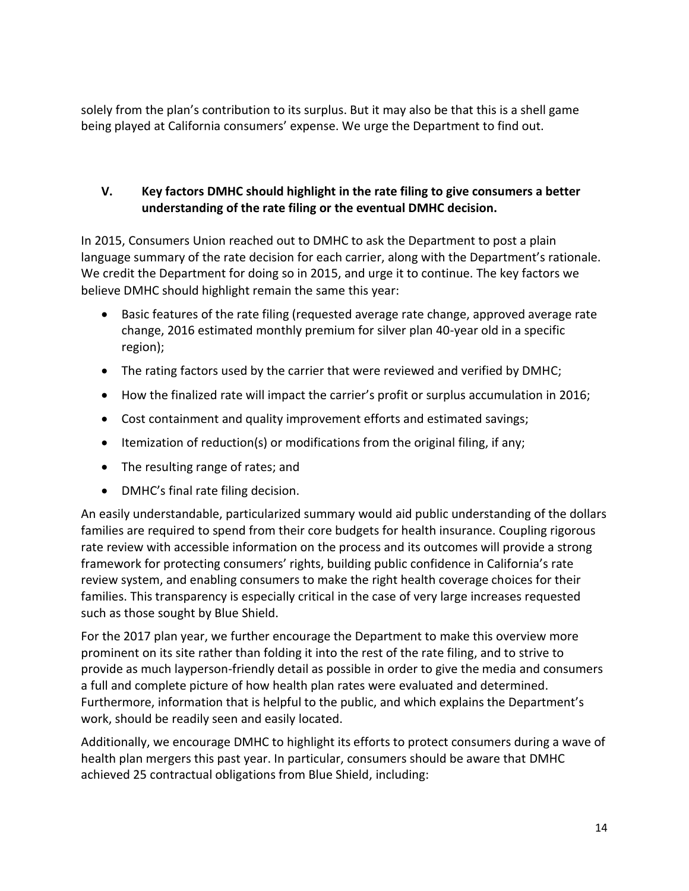solely from the plan's contribution to its surplus. But it may also be that this is a shell game being played at California consumers' expense. We urge the Department to find out.

# **V. Key factors DMHC should highlight in the rate filing to give consumers a better understanding of the rate filing or the eventual DMHC decision.**

In 2015, Consumers Union reached out to DMHC to ask the Department to post a plain language summary of the rate decision for each carrier, along with the Department's rationale. We credit the Department for doing so in 2015, and urge it to continue. The key factors we believe DMHC should highlight remain the same this year:

- Basic features of the rate filing (requested average rate change, approved average rate change, 2016 estimated monthly premium for silver plan 40-year old in a specific region);
- The rating factors used by the carrier that were reviewed and verified by DMHC;
- How the finalized rate will impact the carrier's profit or surplus accumulation in 2016;
- Cost containment and quality improvement efforts and estimated savings;
- **Itemization of reduction(s) or modifications from the original filing, if any;**
- The resulting range of rates; and
- DMHC's final rate filing decision.

An easily understandable, particularized summary would aid public understanding of the dollars families are required to spend from their core budgets for health insurance. Coupling rigorous rate review with accessible information on the process and its outcomes will provide a strong framework for protecting consumers' rights, building public confidence in California's rate review system, and enabling consumers to make the right health coverage choices for their families. This transparency is especially critical in the case of very large increases requested such as those sought by Blue Shield.

For the 2017 plan year, we further encourage the Department to make this overview more prominent on its site rather than folding it into the rest of the rate filing, and to strive to provide as much layperson-friendly detail as possible in order to give the media and consumers a full and complete picture of how health plan rates were evaluated and determined. Furthermore, information that is helpful to the public, and which explains the Department's work, should be readily seen and easily located.

Additionally, we encourage DMHC to highlight its efforts to protect consumers during a wave of health plan mergers this past year. In particular, consumers should be aware that DMHC achieved 25 contractual obligations from Blue Shield, including: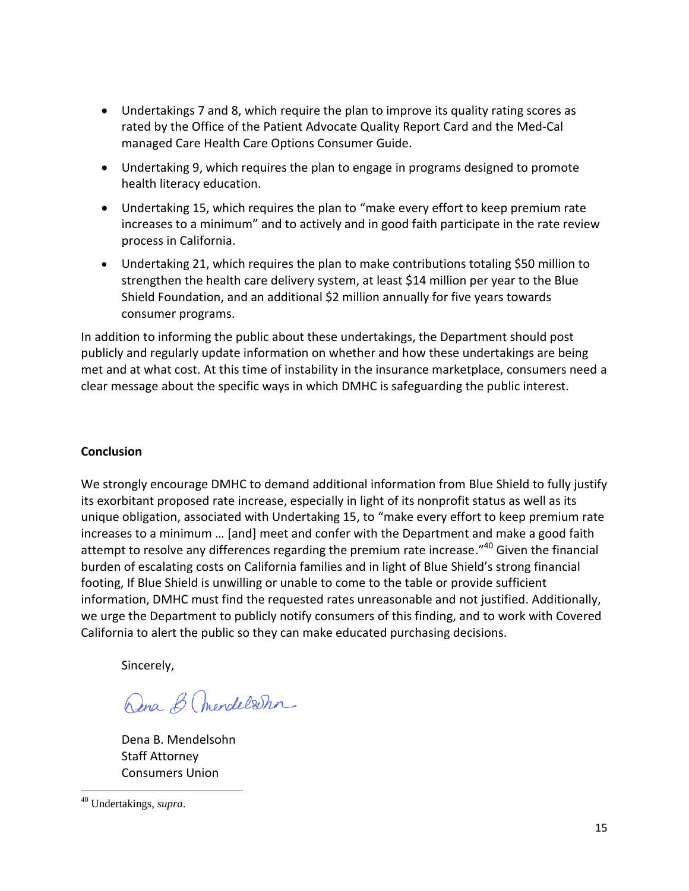- Undertakings 7 and 8, which require the plan to improve its quality rating scores as rated by the Office of the Patient Advocate Quality Report Card and the Med-Cal managed Care Health Care Options Consumer Guide.
- Undertaking 9, which requires the plan to engage in programs designed to promote health literacy education.
- Undertaking 15, which requires the plan to "make every effort to keep premium rate increases to a minimum" and to actively and in good faith participate in the rate review process in California.
- Undertaking 21, which requires the plan to make contributions totaling \$50 million to strengthen the health care delivery system, at least \$14 million per year to the Blue Shield Foundation, and an additional \$2 million annually for five years towards consumer programs.

In addition to informing the public about these undertakings, the Department should post publicly and regularly update information on whether and how these undertakings are being met and at what cost. At this time of instability in the insurance marketplace, consumers need a clear message about the specific ways in which DMHC is safeguarding the public interest.

# **Conclusion**

We strongly encourage DMHC to demand additional information from Blue Shield to fully justify its exorbitant proposed rate increase, especially in light of its nonprofit status as well as its unique obligation, associated with Undertaking 15, to "make every effort to keep premium rate increases to a minimum … [and] meet and confer with the Department and make a good faith attempt to resolve any differences regarding the premium rate increase."<sup>40</sup> Given the financial burden of escalating costs on California families and in light of Blue Shield's strong financial footing, If Blue Shield is unwilling or unable to come to the table or provide sufficient information, DMHC must find the requested rates unreasonable and not justified. Additionally, we urge the Department to publicly notify consumers of this finding, and to work with Covered California to alert the public so they can make educated purchasing decisions.

Sincerely,

Dena B. Chendelsohn

Dena B. Mendelsohn Staff Attorney Consumers Union

 $\overline{\phantom{a}}$ <sup>40</sup> Undertakings, *supra*.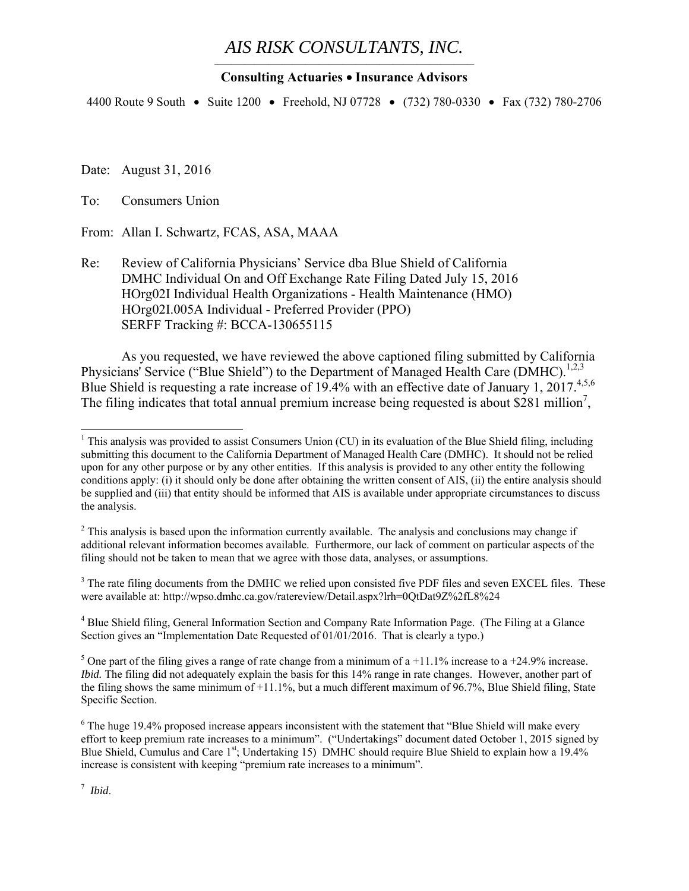#### *AIS RISK CONSULTANTS, INC.*  $\mathcal{L}_\mathcal{L} = \mathcal{L}_\mathcal{L} = \mathcal{L}_\mathcal{L} = \mathcal{L}_\mathcal{L} = \mathcal{L}_\mathcal{L} = \mathcal{L}_\mathcal{L} = \mathcal{L}_\mathcal{L} = \mathcal{L}_\mathcal{L} = \mathcal{L}_\mathcal{L} = \mathcal{L}_\mathcal{L} = \mathcal{L}_\mathcal{L} = \mathcal{L}_\mathcal{L} = \mathcal{L}_\mathcal{L} = \mathcal{L}_\mathcal{L} = \mathcal{L}_\mathcal{L} = \mathcal{L}_\mathcal{L} = \mathcal{L}_\mathcal{L}$

#### **Consulting Actuaries Insurance Advisors**

4400 Route 9 South • Suite 1200 • Freehold, NJ 07728 • (732) 780-0330 • Fax (732) 780-2706

Date: August 31, 2016

To: Consumers Union

From: Allan I. Schwartz, FCAS, ASA, MAAA

Re: Review of California Physicians' Service dba Blue Shield of California DMHC Individual On and Off Exchange Rate Filing Dated July 15, 2016 HOrg02I Individual Health Organizations - Health Maintenance (HMO) HOrg02I.005A Individual - Preferred Provider (PPO) SERFF Tracking #: BCCA-130655115

As you requested, we have reviewed the above captioned filing submitted by California Physicians' Service ("Blue Shield") to the Department of Managed Health Care (DMHC).<sup>1,2,3</sup> Blue Shield is requesting a rate increase of 19.4% with an effective date of January 1, 2017.<sup>4,5,6</sup> The filing indicates that total annual premium increase being requested is about \$281 million<sup>7</sup>,

 $3$  The rate filing documents from the DMHC we relied upon consisted five PDF files and seven EXCEL files. These were available at: http://wpso.dmhc.ca.gov/ratereview/Detail.aspx?lrh=0QtDat9Z%2fL8%24

<sup>4</sup> Blue Shield filing, General Information Section and Company Rate Information Page. (The Filing at a Glance Section gives an "Implementation Date Requested of 01/01/2016. That is clearly a typo.)

<sup>5</sup> One part of the filing gives a range of rate change from a minimum of a +11.1% increase to a +24.9% increase. *Ibid.* The filing did not adequately explain the basis for this 14% range in rate changes. However, another part of the filing shows the same minimum of +11.1%, but a much different maximum of 96.7%, Blue Shield filing, State Specific Section.

<sup>7</sup> *Ibid*.

 $\overline{a}$ 

<sup>&</sup>lt;sup>1</sup> This analysis was provided to assist Consumers Union (CU) in its evaluation of the Blue Shield filing, including submitting this document to the California Department of Managed Health Care (DMHC). It should not be relied upon for any other purpose or by any other entities. If this analysis is provided to any other entity the following conditions apply: (i) it should only be done after obtaining the written consent of AIS, (ii) the entire analysis should be supplied and (iii) that entity should be informed that AIS is available under appropriate circumstances to discuss the analysis.

 $2$  This analysis is based upon the information currently available. The analysis and conclusions may change if additional relevant information becomes available. Furthermore, our lack of comment on particular aspects of the filing should not be taken to mean that we agree with those data, analyses, or assumptions.

 $6$  The huge 19.4% proposed increase appears inconsistent with the statement that "Blue Shield will make every effort to keep premium rate increases to a minimum". ("Undertakings" document dated October 1, 2015 signed by Blue Shield, Cumulus and Care 1<sup>st</sup>; Undertaking 15) DMHC should require Blue Shield to explain how a 19.4% increase is consistent with keeping "premium rate increases to a minimum".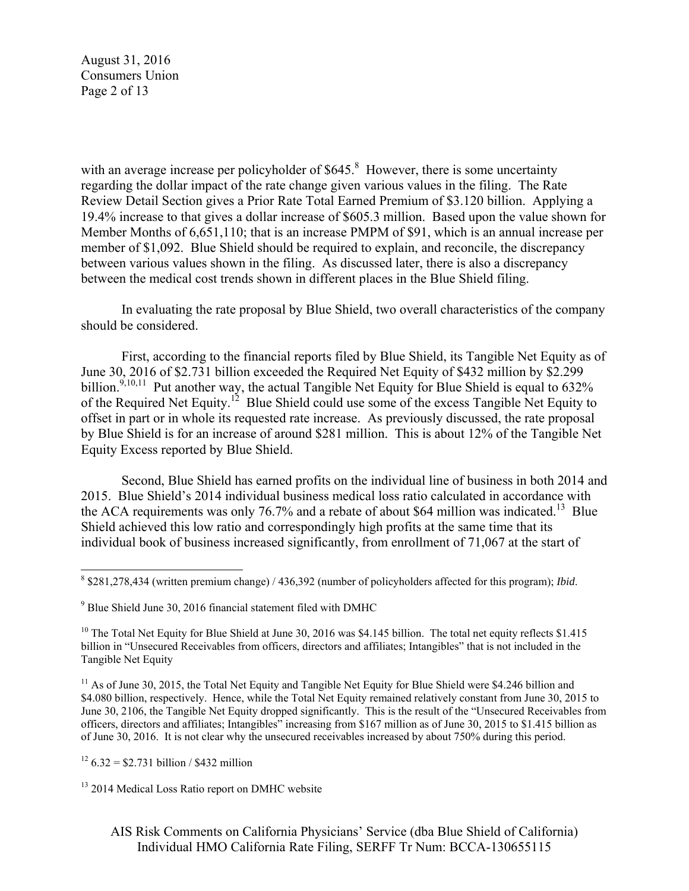August 31, 2016 Consumers Union Page 2 of 13

with an average increase per policyholder of  $$645<sup>8</sup>$  However, there is some uncertainty regarding the dollar impact of the rate change given various values in the filing. The Rate Review Detail Section gives a Prior Rate Total Earned Premium of \$3.120 billion. Applying a 19.4% increase to that gives a dollar increase of \$605.3 million. Based upon the value shown for Member Months of 6,651,110; that is an increase PMPM of \$91, which is an annual increase per member of \$1,092. Blue Shield should be required to explain, and reconcile, the discrepancy between various values shown in the filing. As discussed later, there is also a discrepancy between the medical cost trends shown in different places in the Blue Shield filing.

In evaluating the rate proposal by Blue Shield, two overall characteristics of the company should be considered.

First, according to the financial reports filed by Blue Shield, its Tangible Net Equity as of June 30, 2016 of \$2.731 billion exceeded the Required Net Equity of \$432 million by \$2.299 billion.<sup>9,10,11</sup> Put another way, the actual Tangible Net Equity for Blue Shield is equal to  $632\%$ of the Required Net Equity.<sup>12</sup> Blue Shield could use some of the excess Tangible Net Equity to offset in part or in whole its requested rate increase. As previously discussed, the rate proposal by Blue Shield is for an increase of around \$281 million. This is about 12% of the Tangible Net Equity Excess reported by Blue Shield.

Second, Blue Shield has earned profits on the individual line of business in both 2014 and 2015. Blue Shield's 2014 individual business medical loss ratio calculated in accordance with the ACA requirements was only 76.7% and a rebate of about \$64 million was indicated.<sup>13</sup> Blue Shield achieved this low ratio and correspondingly high profits at the same time that its individual book of business increased significantly, from enrollment of 71,067 at the start of

 $12$  6.32 = \$2.731 billion / \$432 million

 $\overline{a}$ 

<sup>8</sup> \$281,278,434 (written premium change) / 436,392 (number of policyholders affected for this program); *Ibid*.

<sup>&</sup>lt;sup>9</sup> Blue Shield June 30, 2016 financial statement filed with DMHC

<sup>&</sup>lt;sup>10</sup> The Total Net Equity for Blue Shield at June 30, 2016 was \$4.145 billion. The total net equity reflects \$1.415 billion in "Unsecured Receivables from officers, directors and affiliates; Intangibles" that is not included in the Tangible Net Equity

<sup>&</sup>lt;sup>11</sup> As of June 30, 2015, the Total Net Equity and Tangible Net Equity for Blue Shield were \$4.246 billion and \$4.080 billion, respectively. Hence, while the Total Net Equity remained relatively constant from June 30, 2015 to June 30, 2106, the Tangible Net Equity dropped significantly. This is the result of the "Unsecured Receivables from officers, directors and affiliates; Intangibles" increasing from \$167 million as of June 30, 2015 to \$1.415 billion as of June 30, 2016. It is not clear why the unsecured receivables increased by about 750% during this period.

<sup>&</sup>lt;sup>13</sup> 2014 Medical Loss Ratio report on DMHC website

AIS Risk Comments on California Physicians' Service (dba Blue Shield of California) Individual HMO California Rate Filing, SERFF Tr Num: BCCA-130655115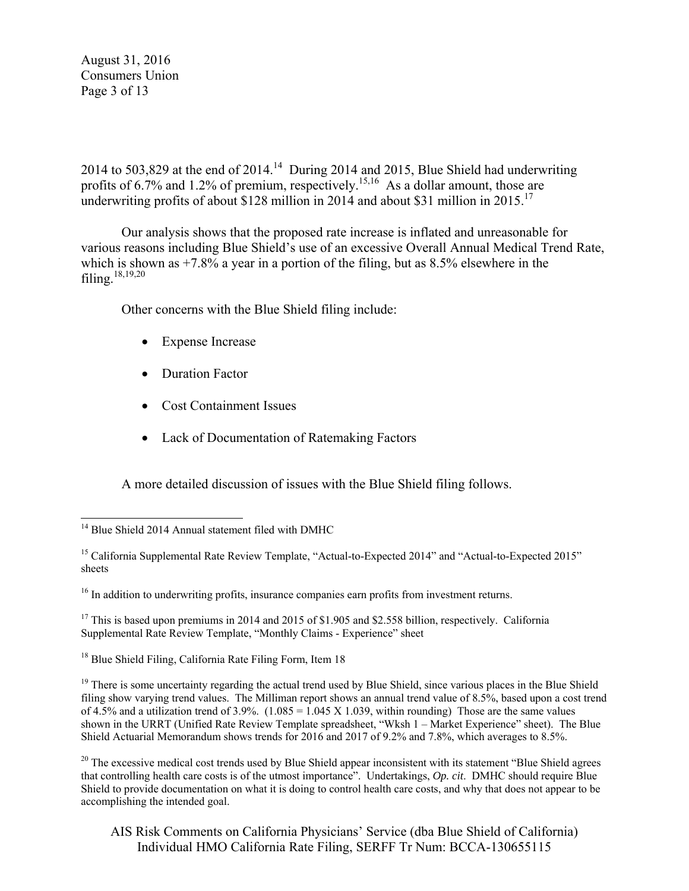August 31, 2016 Consumers Union Page 3 of 13

2014 to 503,829 at the end of  $2014<sup>14</sup>$  During 2014 and 2015, Blue Shield had underwriting profits of 6.7% and 1.2% of premium, respectively.<sup>15,16</sup> As a dollar amount, those are underwriting profits of about \$128 million in 2014 and about \$31 million in 2015.<sup>17</sup>

Our analysis shows that the proposed rate increase is inflated and unreasonable for various reasons including Blue Shield's use of an excessive Overall Annual Medical Trend Rate, which is shown as  $+7.8\%$  a year in a portion of the filing, but as  $8.5\%$  elsewhere in the filing. $18,19,20$ 

Other concerns with the Blue Shield filing include:

- Expense Increase
- Duration Factor
- Cost Containment Issues
- Lack of Documentation of Ratemaking Factors

A more detailed discussion of issues with the Blue Shield filing follows.

 $16$  In addition to underwriting profits, insurance companies earn profits from investment returns.

<sup>17</sup> This is based upon premiums in 2014 and 2015 of \$1.905 and \$2.558 billion, respectively. California Supplemental Rate Review Template, "Monthly Claims - Experience" sheet

<sup>18</sup> Blue Shield Filing, California Rate Filing Form, Item 18

 $19$  There is some uncertainty regarding the actual trend used by Blue Shield, since various places in the Blue Shield filing show varying trend values. The Milliman report shows an annual trend value of 8.5%, based upon a cost trend of 4.5% and a utilization trend of 3.9%.  $(1.085 = 1.045 \text{ X } 1.039)$ , within rounding) Those are the same values shown in the URRT (Unified Rate Review Template spreadsheet, "Wksh 1 – Market Experience" sheet). The Blue Shield Actuarial Memorandum shows trends for 2016 and 2017 of 9.2% and 7.8%, which averages to 8.5%.

 $20$  The excessive medical cost trends used by Blue Shield appear inconsistent with its statement "Blue Shield agrees" that controlling health care costs is of the utmost importance". Undertakings, *Op. cit*. DMHC should require Blue Shield to provide documentation on what it is doing to control health care costs, and why that does not appear to be accomplishing the intended goal.

AIS Risk Comments on California Physicians' Service (dba Blue Shield of California) Individual HMO California Rate Filing, SERFF Tr Num: BCCA-130655115

 $\overline{a}$ <sup>14</sup> Blue Shield 2014 Annual statement filed with DMHC

<sup>&</sup>lt;sup>15</sup> California Supplemental Rate Review Template, "Actual-to-Expected 2014" and "Actual-to-Expected 2015" sheets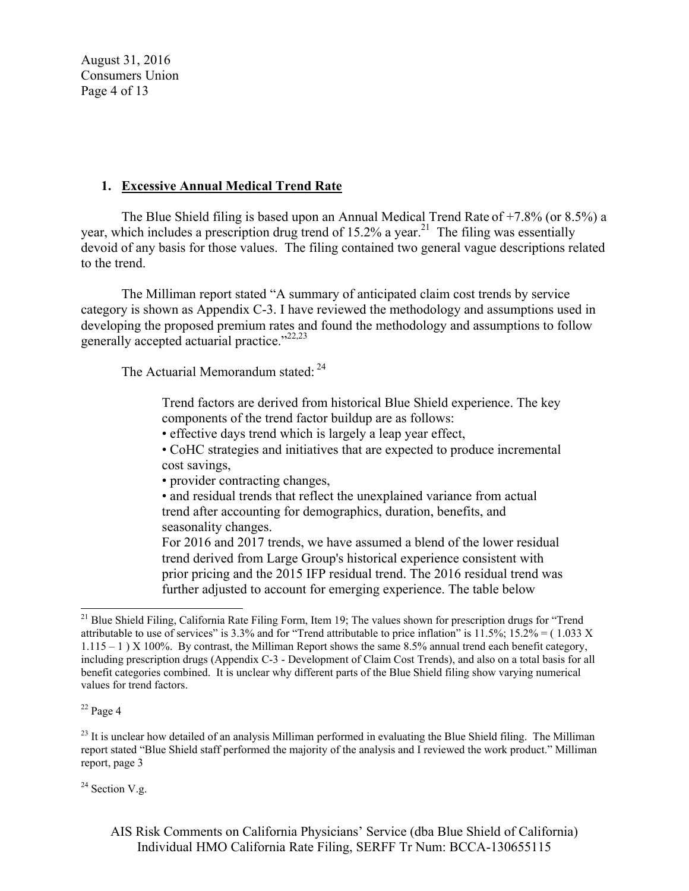August 31, 2016 Consumers Union Page 4 of 13

### **1. Excessive Annual Medical Trend Rate**

The Blue Shield filing is based upon an Annual Medical Trend Rate of +7.8% (or 8.5%) a year, which includes a prescription drug trend of 15.2% a year.<sup>21</sup> The filing was essentially devoid of any basis for those values. The filing contained two general vague descriptions related to the trend.

The Milliman report stated "A summary of anticipated claim cost trends by service category is shown as Appendix C-3. I have reviewed the methodology and assumptions used in developing the proposed premium rates and found the methodology and assumptions to follow generally accepted actuarial practice."<sup>22,23</sup>

The Actuarial Memorandum stated: <sup>24</sup>

Trend factors are derived from historical Blue Shield experience. The key components of the trend factor buildup are as follows:

• effective days trend which is largely a leap year effect,

• CoHC strategies and initiatives that are expected to produce incremental cost savings,

• provider contracting changes,

• and residual trends that reflect the unexplained variance from actual trend after accounting for demographics, duration, benefits, and seasonality changes.

For 2016 and 2017 trends, we have assumed a blend of the lower residual trend derived from Large Group's historical experience consistent with prior pricing and the 2015 IFP residual trend. The 2016 residual trend was further adjusted to account for emerging experience. The table below

 $22$  Page 4

 $\overline{a}$ 

 $24$  Section V.g.

AIS Risk Comments on California Physicians' Service (dba Blue Shield of California) Individual HMO California Rate Filing, SERFF Tr Num: BCCA-130655115

 $^{21}$  Blue Shield Filing, California Rate Filing Form, Item 19; The values shown for prescription drugs for "Trend" attributable to use of services" is 3.3% and for "Trend attributable to price inflation" is  $11.5\%$ ;  $15.2\% = (1.033 \text{ X})$ 1.115 – 1 ) X 100%. By contrast, the Milliman Report shows the same 8.5% annual trend each benefit category, including prescription drugs (Appendix C-3 - Development of Claim Cost Trends), and also on a total basis for all benefit categories combined. It is unclear why different parts of the Blue Shield filing show varying numerical values for trend factors.

 $^{23}$  It is unclear how detailed of an analysis Milliman performed in evaluating the Blue Shield filing. The Milliman report stated "Blue Shield staff performed the majority of the analysis and I reviewed the work product." Milliman report, page 3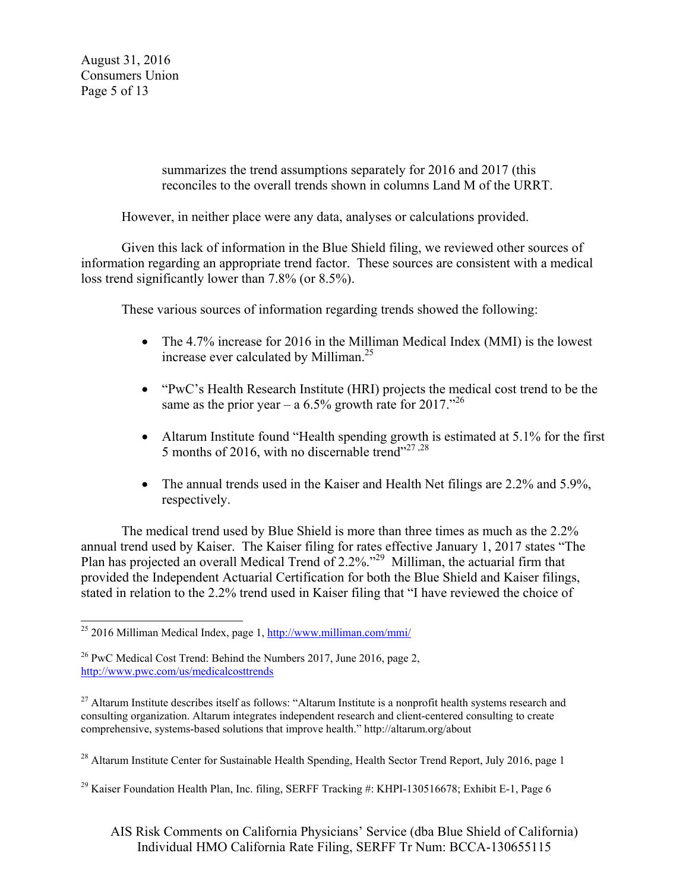August 31, 2016 Consumers Union Page 5 of 13

> summarizes the trend assumptions separately for 2016 and 2017 (this reconciles to the overall trends shown in columns Land M of the URRT.

However, in neither place were any data, analyses or calculations provided.

Given this lack of information in the Blue Shield filing, we reviewed other sources of information regarding an appropriate trend factor. These sources are consistent with a medical loss trend significantly lower than 7.8% (or 8.5%).

These various sources of information regarding trends showed the following:

- The 4.7% increase for 2016 in the Milliman Medical Index (MMI) is the lowest increase ever calculated by Milliman.<sup>25</sup>
- "PwC's Health Research Institute (HRI) projects the medical cost trend to be the same as the prior year – a 6.5% growth rate for 2017.<sup> $201$ </sup>
- Altarum Institute found "Health spending growth is estimated at 5.1% for the first 5 months of 2016, with no discernable trend"<sup>27,28</sup>
- The annual trends used in the Kaiser and Health Net filings are 2.2% and 5.9%, respectively.

The medical trend used by Blue Shield is more than three times as much as the 2.2% annual trend used by Kaiser. The Kaiser filing for rates effective January 1, 2017 states "The Plan has projected an overall Medical Trend of 2.2%."<sup>29</sup> Milliman, the actuarial firm that provided the Independent Actuarial Certification for both the Blue Shield and Kaiser filings, stated in relation to the 2.2% trend used in Kaiser filing that "I have reviewed the choice of

 $\overline{a}$ <sup>25</sup> 2016 Milliman Medical Index, page 1, http://www.milliman.com/mmi/

<sup>&</sup>lt;sup>26</sup> PwC Medical Cost Trend: Behind the Numbers 2017, June 2016, page 2, http://www.pwc.com/us/medicalcosttrends

 $27$  Altarum Institute describes itself as follows: "Altarum Institute is a nonprofit health systems research and consulting organization. Altarum integrates independent research and client-centered consulting to create comprehensive, systems-based solutions that improve health." http://altarum.org/about

 $^{28}$  Altarum Institute Center for Sustainable Health Spending, Health Sector Trend Report, July 2016, page 1

<sup>&</sup>lt;sup>29</sup> Kaiser Foundation Health Plan, Inc. filing, SERFF Tracking #: KHPI-130516678; Exhibit E-1, Page 6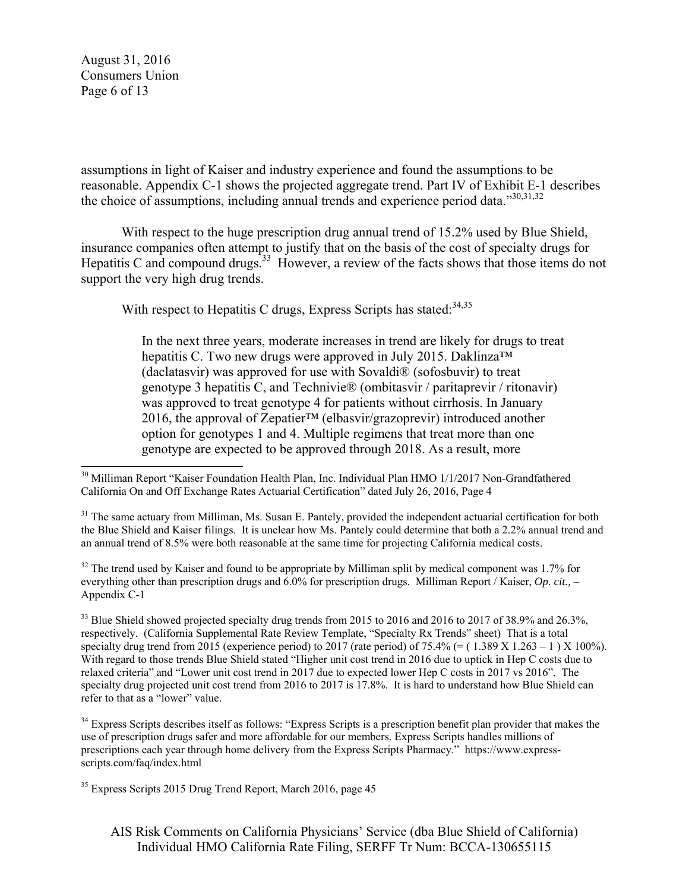August 31, 2016 Consumers Union Page 6 of 13

assumptions in light of Kaiser and industry experience and found the assumptions to be reasonable. Appendix C-1 shows the projected aggregate trend. Part IV of Exhibit E-1 describes the choice of assumptions, including annual trends and experience period data."30,31,32

With respect to the huge prescription drug annual trend of 15.2% used by Blue Shield, insurance companies often attempt to justify that on the basis of the cost of specialty drugs for Hepatitis C and compound drugs.<sup>33</sup> However, a review of the facts shows that those items do not support the very high drug trends.

With respect to Hepatitis C drugs, Express Scripts has stated: 34,35

In the next three years, moderate increases in trend are likely for drugs to treat hepatitis C. Two new drugs were approved in July 2015. Daklinza<sup>™</sup> (daclatasvir) was approved for use with Sovaldi® (sofosbuvir) to treat genotype 3 hepatitis C, and Technivie® (ombitasvir / paritaprevir / ritonavir) was approved to treat genotype 4 for patients without cirrhosis. In January 2016, the approval of Zepatier<sup>TM</sup> (elbasvir/grazoprevir) introduced another option for genotypes 1 and 4. Multiple regimens that treat more than one genotype are expected to be approved through 2018. As a result, more

 $32$  The trend used by Kaiser and found to be appropriate by Milliman split by medical component was 1.7% for everything other than prescription drugs and 6.0% for prescription drugs. Milliman Report / Kaiser, *Op. cit.,* – Appendix C-1

 $33$  Blue Shield showed projected specialty drug trends from 2015 to 2016 and 2016 to 2017 of 38.9% and 26.3%. respectively. (California Supplemental Rate Review Template, "Specialty Rx Trends" sheet) That is a total specialty drug trend from 2015 (experience period) to 2017 (rate period) of 75.4% (=  $(1.389 \text{ X } 1.263 - 1 \text{ )} \times 100\%$ ). With regard to those trends Blue Shield stated "Higher unit cost trend in 2016 due to uptick in Hep C costs due to relaxed criteria" and "Lower unit cost trend in 2017 due to expected lower Hep C costs in 2017 vs 2016". The specialty drug projected unit cost trend from 2016 to 2017 is 17.8%. It is hard to understand how Blue Shield can refer to that as a "lower" value.

<sup>34</sup> Express Scripts describes itself as follows: "Express Scripts is a prescription benefit plan provider that makes the use of prescription drugs safer and more affordable for our members. Express Scripts handles millions of prescriptions each year through home delivery from the Express Scripts Pharmacy." https://www.expressscripts.com/faq/index.html

 $\overline{a}$ <sup>30</sup> Milliman Report "Kaiser Foundation Health Plan, Inc. Individual Plan HMO 1/1/2017 Non-Grandfathered California On and Off Exchange Rates Actuarial Certification" dated July 26, 2016, Page 4

<sup>&</sup>lt;sup>31</sup> The same actuary from Milliman, Ms. Susan E. Pantely, provided the independent actuarial certification for both the Blue Shield and Kaiser filings. It is unclear how Ms. Pantely could determine that both a 2.2% annual trend and an annual trend of 8.5% were both reasonable at the same time for projecting California medical costs.

<sup>&</sup>lt;sup>35</sup> Express Scripts 2015 Drug Trend Report, March 2016, page 45

AIS Risk Comments on California Physicians' Service (dba Blue Shield of California) Individual HMO California Rate Filing, SERFF Tr Num: BCCA-130655115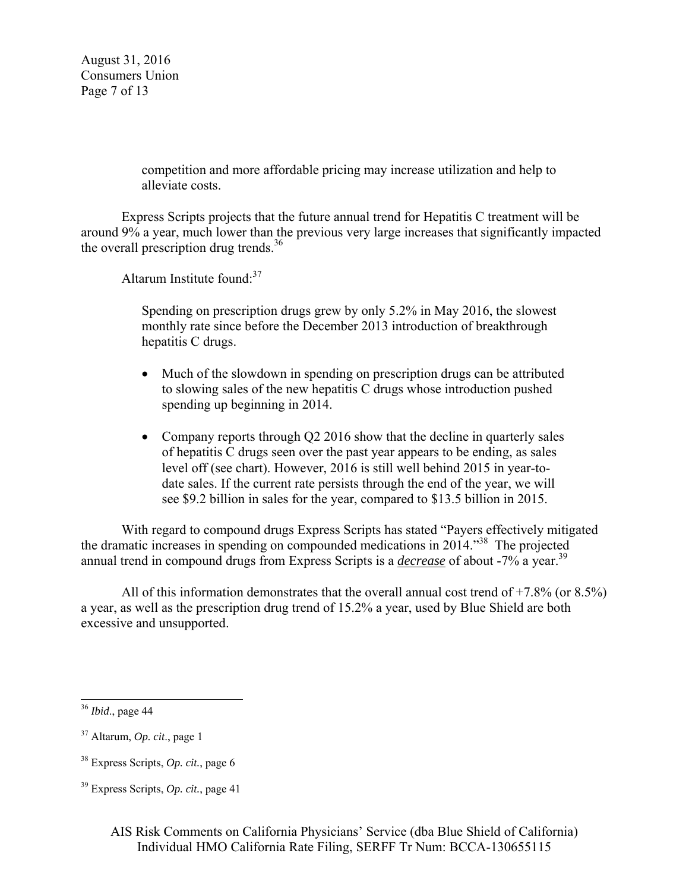August 31, 2016 Consumers Union Page 7 of 13

> competition and more affordable pricing may increase utilization and help to alleviate costs.

Express Scripts projects that the future annual trend for Hepatitis C treatment will be around 9% a year, much lower than the previous very large increases that significantly impacted the overall prescription drug trends.<sup>36</sup>

Altarum Institute found: $37$ 

Spending on prescription drugs grew by only 5.2% in May 2016, the slowest monthly rate since before the December 2013 introduction of breakthrough hepatitis C drugs.

- Much of the slowdown in spending on prescription drugs can be attributed to slowing sales of the new hepatitis C drugs whose introduction pushed spending up beginning in 2014.
- Company reports through Q2 2016 show that the decline in quarterly sales of hepatitis C drugs seen over the past year appears to be ending, as sales level off (see chart). However, 2016 is still well behind 2015 in year-todate sales. If the current rate persists through the end of the year, we will see \$9.2 billion in sales for the year, compared to \$13.5 billion in 2015.

With regard to compound drugs Express Scripts has stated "Payers effectively mitigated the dramatic increases in spending on compounded medications in 2014."38 The projected annual trend in compound drugs from Express Scripts is a *decrease* of about -7% a year.<sup>39</sup>

All of this information demonstrates that the overall annual cost trend of  $+7.8\%$  (or 8.5%) a year, as well as the prescription drug trend of 15.2% a year, used by Blue Shield are both excessive and unsupported.

 $\overline{a}$ 

<sup>36</sup> *Ibid*., page 44

<sup>37</sup> Altarum, *Op. cit*., page 1

<sup>38</sup> Express Scripts, *Op. cit.*, page 6

<sup>39</sup> Express Scripts, *Op. cit.*, page 41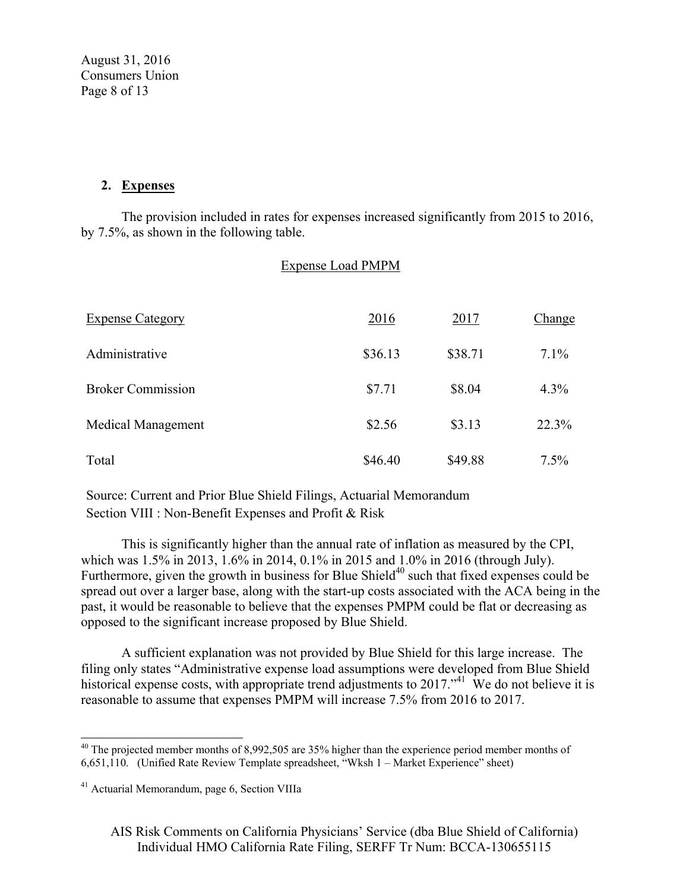August 31, 2016 Consumers Union Page 8 of 13

#### **2. Expenses**

The provision included in rates for expenses increased significantly from 2015 to 2016, by 7.5%, as shown in the following table.

|                           | <b>Expense Load PMPM</b> |         |         |
|---------------------------|--------------------------|---------|---------|
| <b>Expense Category</b>   | 2016                     | 2017    | Change  |
| Administrative            | \$36.13                  | \$38.71 | $7.1\%$ |
| <b>Broker Commission</b>  | \$7.71                   | \$8.04  | 4.3%    |
| <b>Medical Management</b> | \$2.56                   | \$3.13  | 22.3%   |
| Total                     | \$46.40                  | \$49.88 | 7.5%    |

Source: Current and Prior Blue Shield Filings, Actuarial Memorandum Section VIII : Non-Benefit Expenses and Profit & Risk

This is significantly higher than the annual rate of inflation as measured by the CPI, which was 1.5% in 2013, 1.6% in 2014, 0.1% in 2015 and 1.0% in 2016 (through July). Furthermore, given the growth in business for Blue Shield<sup>40</sup> such that fixed expenses could be spread out over a larger base, along with the start-up costs associated with the ACA being in the past, it would be reasonable to believe that the expenses PMPM could be flat or decreasing as opposed to the significant increase proposed by Blue Shield.

A sufficient explanation was not provided by Blue Shield for this large increase. The filing only states "Administrative expense load assumptions were developed from Blue Shield historical expense costs, with appropriate trend adjustments to  $2017.^{41}$  We do not believe it is reasonable to assume that expenses PMPM will increase 7.5% from 2016 to 2017.

 $\overline{a}$ 

AIS Risk Comments on California Physicians' Service (dba Blue Shield of California) Individual HMO California Rate Filing, SERFF Tr Num: BCCA-130655115

 $40$  The projected member months of 8,992,505 are 35% higher than the experience period member months of 6,651,110. (Unified Rate Review Template spreadsheet, "Wksh 1 – Market Experience" sheet)

<sup>41</sup> Actuarial Memorandum, page 6, Section VIIIa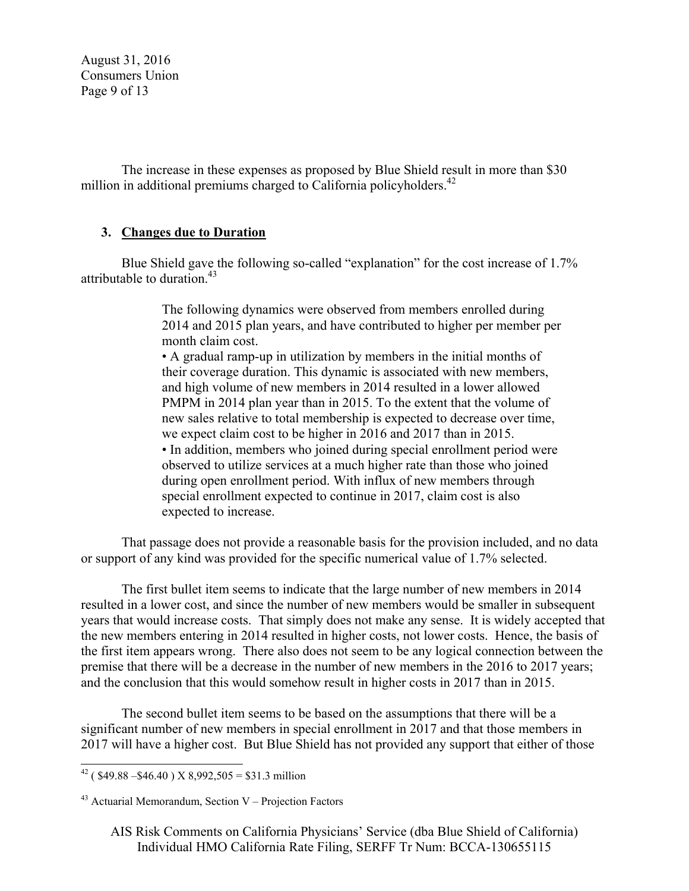August 31, 2016 Consumers Union Page 9 of 13

The increase in these expenses as proposed by Blue Shield result in more than \$30 million in additional premiums charged to California policyholders. $42$ 

### **3. Changes due to Duration**

Blue Shield gave the following so-called "explanation" for the cost increase of 1.7% attributable to duration.<sup>43</sup>

> The following dynamics were observed from members enrolled during 2014 and 2015 plan years, and have contributed to higher per member per month claim cost.

> • A gradual ramp-up in utilization by members in the initial months of their coverage duration. This dynamic is associated with new members, and high volume of new members in 2014 resulted in a lower allowed PMPM in 2014 plan year than in 2015. To the extent that the volume of new sales relative to total membership is expected to decrease over time, we expect claim cost to be higher in 2016 and 2017 than in 2015. • In addition, members who joined during special enrollment period were observed to utilize services at a much higher rate than those who joined during open enrollment period. With influx of new members through special enrollment expected to continue in 2017, claim cost is also expected to increase.

 That passage does not provide a reasonable basis for the provision included, and no data or support of any kind was provided for the specific numerical value of 1.7% selected.

The first bullet item seems to indicate that the large number of new members in 2014 resulted in a lower cost, and since the number of new members would be smaller in subsequent years that would increase costs. That simply does not make any sense. It is widely accepted that the new members entering in 2014 resulted in higher costs, not lower costs. Hence, the basis of the first item appears wrong. There also does not seem to be any logical connection between the premise that there will be a decrease in the number of new members in the 2016 to 2017 years; and the conclusion that this would somehow result in higher costs in 2017 than in 2015.

The second bullet item seems to be based on the assumptions that there will be a significant number of new members in special enrollment in 2017 and that those members in 2017 will have a higher cost. But Blue Shield has not provided any support that either of those

 $\overline{a}$ <sup>42</sup> (\$49.88 – \$46.40) X 8,992,505 = \$31.3 million

 $43$  Actuarial Memorandum, Section V – Projection Factors

AIS Risk Comments on California Physicians' Service (dba Blue Shield of California) Individual HMO California Rate Filing, SERFF Tr Num: BCCA-130655115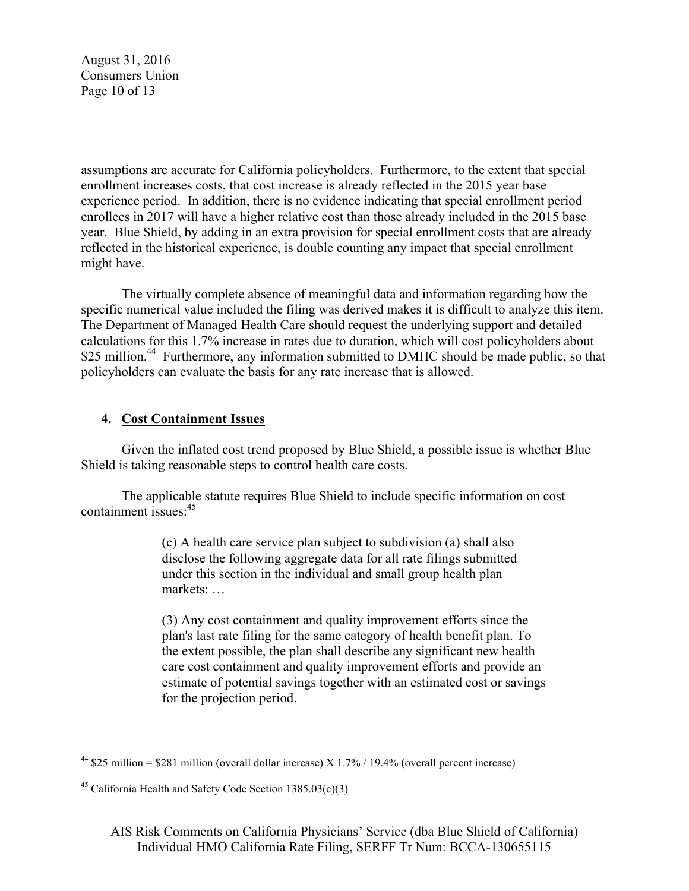August 31, 2016 Consumers Union Page 10 of 13

assumptions are accurate for California policyholders. Furthermore, to the extent that special enrollment increases costs, that cost increase is already reflected in the 2015 year base experience period. In addition, there is no evidence indicating that special enrollment period enrollees in 2017 will have a higher relative cost than those already included in the 2015 base year. Blue Shield, by adding in an extra provision for special enrollment costs that are already reflected in the historical experience, is double counting any impact that special enrollment might have.

The virtually complete absence of meaningful data and information regarding how the specific numerical value included the filing was derived makes it is difficult to analyze this item. The Department of Managed Health Care should request the underlying support and detailed calculations for this 1.7% increase in rates due to duration, which will cost policyholders about \$25 million.<sup>44</sup> Furthermore, any information submitted to DMHC should be made public, so that policyholders can evaluate the basis for any rate increase that is allowed.

### **4. Cost Containment Issues**

Given the inflated cost trend proposed by Blue Shield, a possible issue is whether Blue Shield is taking reasonable steps to control health care costs.

The applicable statute requires Blue Shield to include specific information on cost containment issues:45

> (c) A health care service plan subject to subdivision (a) shall also disclose the following aggregate data for all rate filings submitted under this section in the individual and small group health plan markets: …

(3) Any cost containment and quality improvement efforts since the plan's last rate filing for the same category of health benefit plan. To the extent possible, the plan shall describe any significant new health care cost containment and quality improvement efforts and provide an estimate of potential savings together with an estimated cost or savings for the projection period.

 $\overline{a}$ <sup>44</sup> \$25 million = \$281 million (overall dollar increase) X 1.7% / 19.4% (overall percent increase)

<sup>&</sup>lt;sup>45</sup> California Health and Safety Code Section  $1385.03(c)(3)$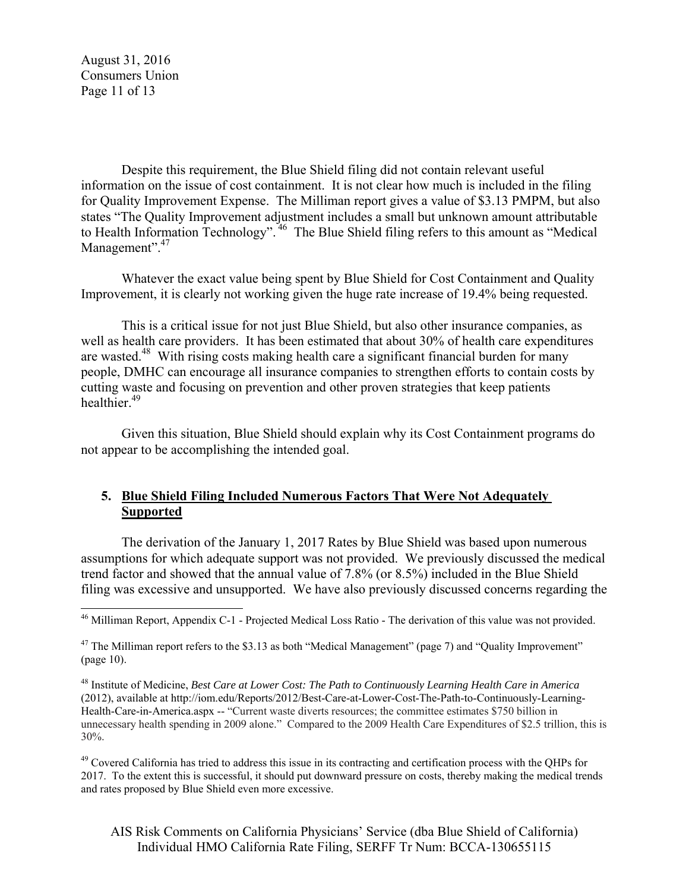August 31, 2016 Consumers Union Page 11 of 13

 $\overline{a}$ 

Despite this requirement, the Blue Shield filing did not contain relevant useful information on the issue of cost containment. It is not clear how much is included in the filing for Quality Improvement Expense. The Milliman report gives a value of \$3.13 PMPM, but also states "The Quality Improvement adjustment includes a small but unknown amount attributable to Health Information Technology".<sup>46</sup> The Blue Shield filing refers to this amount as "Medical" Management".<sup>47</sup>

Whatever the exact value being spent by Blue Shield for Cost Containment and Quality Improvement, it is clearly not working given the huge rate increase of 19.4% being requested.

This is a critical issue for not just Blue Shield, but also other insurance companies, as well as health care providers. It has been estimated that about 30% of health care expenditures are wasted.<sup>48</sup> With rising costs making health care a significant financial burden for many people, DMHC can encourage all insurance companies to strengthen efforts to contain costs by cutting waste and focusing on prevention and other proven strategies that keep patients healthier.<sup>49</sup>

Given this situation, Blue Shield should explain why its Cost Containment programs do not appear to be accomplishing the intended goal.

## **5. Blue Shield Filing Included Numerous Factors That Were Not Adequately Supported**

The derivation of the January 1, 2017 Rates by Blue Shield was based upon numerous assumptions for which adequate support was not provided. We previously discussed the medical trend factor and showed that the annual value of 7.8% (or 8.5%) included in the Blue Shield filing was excessive and unsupported. We have also previously discussed concerns regarding the

 $49$  Covered California has tried to address this issue in its contracting and certification process with the OHPs for 2017. To the extent this is successful, it should put downward pressure on costs, thereby making the medical trends and rates proposed by Blue Shield even more excessive.

AIS Risk Comments on California Physicians' Service (dba Blue Shield of California) Individual HMO California Rate Filing, SERFF Tr Num: BCCA-130655115

 $^{46}$  Milliman Report, Appendix C-1 - Projected Medical Loss Ratio - The derivation of this value was not provided.

<sup>&</sup>lt;sup>47</sup> The Milliman report refers to the \$3.13 as both "Medical Management" (page 7) and "Quality Improvement" (page 10).

<sup>48</sup> Institute of Medicine, *Best Care at Lower Cost: The Path to Continuously Learning Health Care in America* (2012), available at http://iom.edu/Reports/2012/Best-Care-at-Lower-Cost-The-Path-to-Continuously-Learning-Health-Care-in-America.aspx -- "Current waste diverts resources; the committee estimates \$750 billion in unnecessary health spending in 2009 alone." Compared to the 2009 Health Care Expenditures of \$2.5 trillion, this is 30%.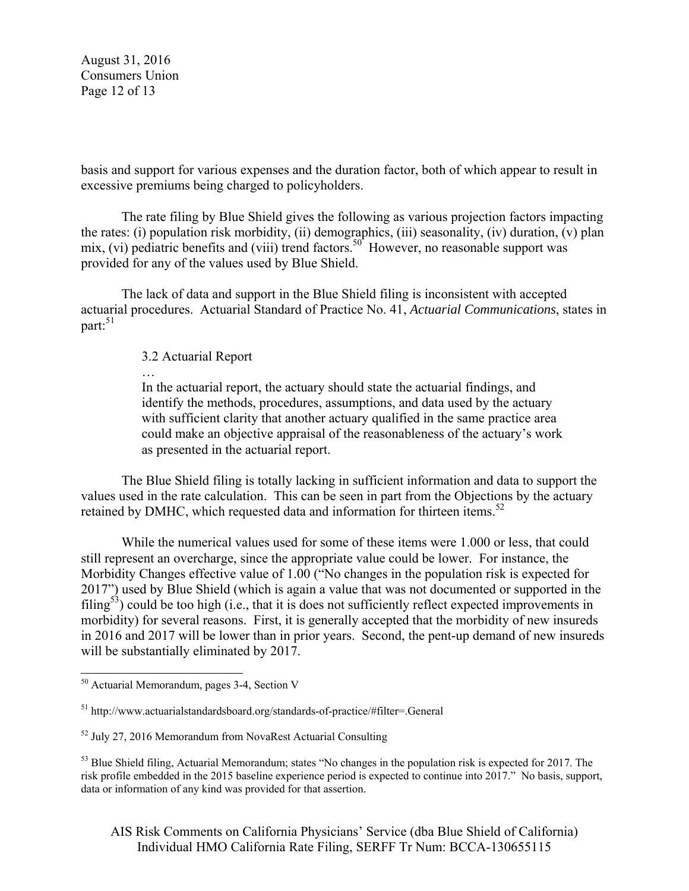August 31, 2016 Consumers Union Page 12 of 13

basis and support for various expenses and the duration factor, both of which appear to result in excessive premiums being charged to policyholders.

The rate filing by Blue Shield gives the following as various projection factors impacting the rates: (i) population risk morbidity, (ii) demographics, (iii) seasonality, (iv) duration, (v) plan mix, (vi) pediatric benefits and (viii) trend factors.<sup>50</sup> However, no reasonable support was provided for any of the values used by Blue Shield.

The lack of data and support in the Blue Shield filing is inconsistent with accepted actuarial procedures. Actuarial Standard of Practice No. 41, *Actuarial Communications*, states in part: $51$ 

3.2 Actuarial Report

…

In the actuarial report, the actuary should state the actuarial findings, and identify the methods, procedures, assumptions, and data used by the actuary with sufficient clarity that another actuary qualified in the same practice area could make an objective appraisal of the reasonableness of the actuary's work as presented in the actuarial report.

The Blue Shield filing is totally lacking in sufficient information and data to support the values used in the rate calculation. This can be seen in part from the Objections by the actuary retained by DMHC, which requested data and information for thirteen items.<sup>52</sup>

While the numerical values used for some of these items were 1.000 or less, that could still represent an overcharge, since the appropriate value could be lower. For instance, the Morbidity Changes effective value of 1.00 ("No changes in the population risk is expected for 2017") used by Blue Shield (which is again a value that was not documented or supported in the filing<sup>53</sup>) could be too high (i.e., that it is does not sufficiently reflect expected improvements in morbidity) for several reasons. First, it is generally accepted that the morbidity of new insureds in 2016 and 2017 will be lower than in prior years. Second, the pent-up demand of new insureds will be substantially eliminated by 2017.

 $\overline{a}$ 

AIS Risk Comments on California Physicians' Service (dba Blue Shield of California) Individual HMO California Rate Filing, SERFF Tr Num: BCCA-130655115

<sup>&</sup>lt;sup>50</sup> Actuarial Memorandum, pages 3-4, Section V

<sup>51</sup> http://www.actuarialstandardsboard.org/standards-of-practice/#filter=.General

 $52$  July 27, 2016 Memorandum from NovaRest Actuarial Consulting

<sup>&</sup>lt;sup>53</sup> Blue Shield filing, Actuarial Memorandum; states "No changes in the population risk is expected for 2017. The risk profile embedded in the 2015 baseline experience period is expected to continue into 2017." No basis, support, data or information of any kind was provided for that assertion.